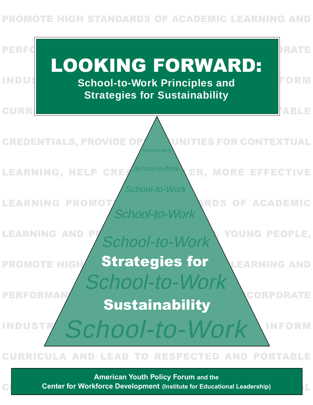## **STANDARDS OF ACADEMIC LEARNING AND**



### **CURRICULA AND LEAD TO RESPECTED AND PORTABLE**

**CREDENTIALS CENTER for Workforce Development** (Institute for Educational Leadership) and Institute of the Context **American Youth Policy Forum and the**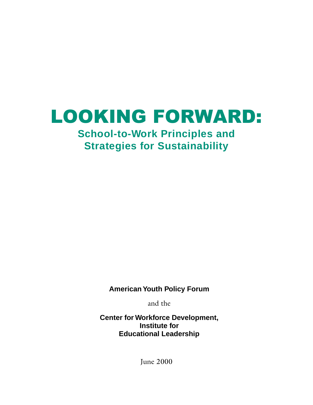# LOOKING FORWARD:

# **School-to-Work Principles and Strategies for Sustainability**

**American Youth Policy Forum**

and the

**Center for Workforce Development, Institute for Educational Leadership**

June 2000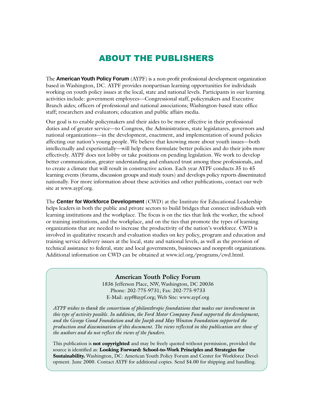### ABOUT THE PUBLISHERS

The **American Youth Policy Forum** (AYPF) is a non-profit professional development organization based in Washington, DC. AYPF provides nonpartisan learning opportunities for individuals working on youth policy issues at the local, state and national levels. Participants in our learning activities include: government employees—Congressional staff, policymakers and Executive Branch aides; officers of professional and national associations; Washington-based state office staff; researchers and evaluators; education and public affairs media.

Our goal is to enable policymakers and their aides to be more effective in their professional duties and of greater service—to Congress, the Administration, state legislatures, governors and national organizations—in the development, enactment, and implementation of sound policies affecting our nation's young people. We believe that knowing more about youth issues—both intellectually and experientially—will help them formulate better policies and do their jobs more effectively. AYPF does not lobby or take positions on pending legislation. We work to develop better communication, greater understanding and enhanced trust among these professionals, and to create a climate that will result in constructive action. Each year AYPF conducts 35 to 45 learning events (forums, discussion groups and study tours) and develops policy reports disseminated nationally. For more information about these activities and other publications, contact our web site at www.aypf.org.

The **Center for Workforce Development** (CWD) at the Institute for Educational Leadership helps leaders in both the public and private sectors to build bridges that connect individuals with learning institutions and the workplace. The focus is on the ties that link the worker, the school or training institutions, and the workplace, and on the ties that promote the types of learning organizations that are needed to increase the productivity of the nation's workforce. CWD is involved in qualitative research and evaluation studies on key policy, program and education and training service delivery issues at the local, state and national levels, as well as the provision of technical assistance to federal, state and local governments, businesses and nonprofit organizations. Additional information on CWD can be obtained at www.iel.org/programs/cwd.html.

### **American Youth Policy Forum**

1836 Jefferson Place, NW, Washington, DC 20036 Phone: 202-775-9731; Fax: 202-775-9733 E-Mail: aypf@aypf.org; Web Site: www.aypf.org

*AYPF wishes to thank the consortium of philanthropic foundations that makes our involvement in this type of activity possible. In addition, the Ford Motor Company Fund supported the development, and the George Gund Foundation and the Joseph and May Winston Foundation supported the production and dissemination of this document. The views reflected in this publication are those of the authors and do not reflect the views of the funders.*

This publication is **not copyrighted** and may be freely quoted without permission, provided the source is identified as: **Looking Forward: School-to-Work Principles and Strategies for Sustainability.** Washington, DC: American Youth Policy Forum and Center for Workforce Development. June 2000. Contact AYPF for additional copies. Send \$4.00 for shipping and handling.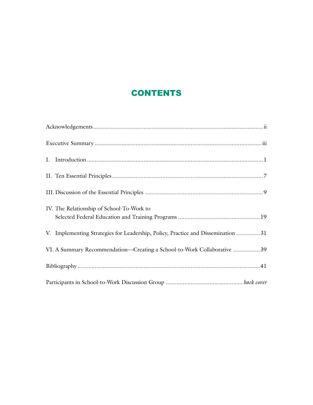# **CONTENTS**

| IV. The Relationship of School-To-Work to                                        |
|----------------------------------------------------------------------------------|
| V. Implementing Strategies for Leadership, Policy, Practice and Dissemination 31 |
| VI. A Summary Recommendation-Creating a School-to-Work Collaborative  39         |
|                                                                                  |
|                                                                                  |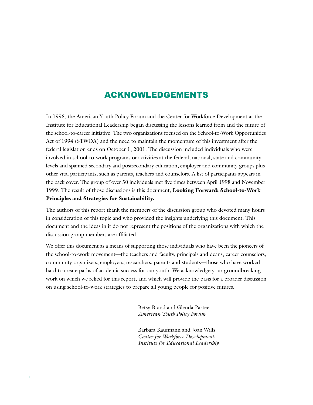### ACKNOWLEDGEMENTS

In 1998, the American Youth Policy Forum and the Center for Workforce Development at the Institute for Educational Leadership began discussing the lessons learned from and the future of the school-to-career initiative. The two organizations focused on the School-to-Work Opportunities Act of 1994 (STWOA) and the need to maintain the momentum of this investment after the federal legislation ends on October 1, 2001. The discussion included individuals who were involved in school-to-work programs or activities at the federal, national, state and community levels and spanned secondary and postsecondary education, employer and community groups plus other vital participants, such as parents, teachers and counselors. A list of participants appears in the back cover. The group of over 50 individuals met five times between April 1998 and November 1999. The result of those discussions is this document, **Looking Forward: School-to-Work Principles and Strategies for Sustainability.**

The authors of this report thank the members of the discussion group who devoted many hours in consideration of this topic and who provided the insights underlying this document. This document and the ideas in it do not represent the positions of the organizations with which the discussion group members are affiliated.

We offer this document as a means of supporting those individuals who have been the pioneers of the school-to-work movement—the teachers and faculty, principals and deans, career counselors, community organizers, employers, researchers, parents and students—those who have worked hard to create paths of academic success for our youth. We acknowledge your groundbreaking work on which we relied for this report, and which will provide the basis for a broader discussion on using school-to-work strategies to prepare all young people for positive futures.

> Betsy Brand and Glenda Partee *American Youth Policy Forum*

Barbara Kaufmann and Joan Wills *Center for Workforce Development, Institute for Educational Leadership*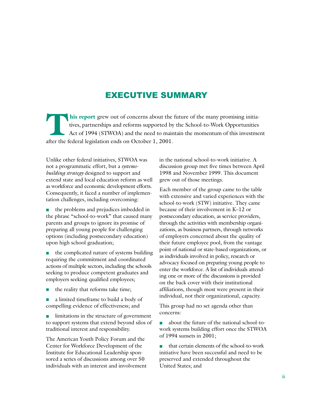### EXECUTIVE SUMMARY

**This report** grew out of concerns about the future of the many promising initia-<br>tives, partnerships and reforms supported by the School-to-Work Opportunities<br>Act of 1994 (STWOA) and the need to maintain the momentum of t tives, partnerships and reforms supported by the School-to-Work Opportunities Act of 1994 (STWOA) and the need to maintain the momentum of this investment after the federal legislation ends on October 1, 2001.

Unlike other federal initiatives, STWOA was not a programmatic effort, but a *systemsbuilding strategy* designed to support and extend state and local education reform as well as workforce and economic development efforts. Consequently, it faced a number of implementation challenges, including overcoming:

■ the problems and prejudices imbedded in the phrase "school-to-work" that caused many parents and groups to ignore its promise of preparing all young people for challenging options (including postsecondary education) upon high school graduation;

■ the complicated nature of systems building requiring the commitment and coordinated actions of multiple sectors, including the schools seeking to produce competent graduates and employers seeking qualified employees;

- the reality that reforms take time;
- a limited timeframe to build a body of compelling evidence of effectiveness; and

■ limitations in the structure of government to support systems that extend beyond silos of traditional interest and responsibility.

The American Youth Policy Forum and the Center for Workforce Development of the Institute for Educational Leadership sponsored a series of discussions among over 50 individuals with an interest and involvement in the national school-to-work initiative. A discussion group met five times between April 1998 and November 1999. This document grew out of those meetings.

Each member of the group came to the table with extensive and varied experiences with the school-to-work (STW) initiative. They came because of their involvement in K–12 or postsecondary education, as service providers, through the activities with membership organizations, as business partners, through networks of employers concerned about the quality of their future employee pool, from the vantage point of national or state-based organizations, or as individuals involved in policy, research or advocacy focused on preparing young people to enter the workforce. A list of individuals attending one or more of the discussions is provided on the back cover with their institutional affiliations, though most were present in their individual, not their organizational, capacity.

This group had no set agenda other than concerns:

■ about the future of the national school-towork systems building effort once the STWOA of 1994 sunsets in 2001;

that certain elements of the school-to-work initiative have been successful and need to be preserved and extended throughout the United States; and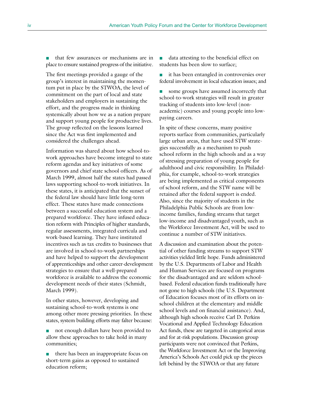that few assurances or mechanisms are in place to ensure sustained progress of the initiative.

The first meetings provided a gauge of the group's interest in maintaining the momentum put in place by the STWOA, the level of commitment on the part of local and state stakeholders and employers in sustaining the effort, and the progress made in thinking systemically about how we as a nation prepare and support young people for productive lives. The group reflected on the lessons learned since the Act was first implemented and considered the challenges ahead.

Information was shared about how school-towork approaches have become integral to state reform agendas and key initiatives of some governors and chief state school officers. As of March 1999, almost half the states had passed laws supporting school-to-work initiatives. In these states, it is anticipated that the sunset of the federal law should have little long-term effect. These states have made connections between a successful education system and a prepared workforce. They have infused education reform with Principles of higher standards, regular assessments, integrated curricula and work-based learning. They have instituted incentives such as tax credits to businesses that are involved in school-to-work partnerships and have helped to support the development of apprenticeships and other career-development strategies to ensure that a well-prepared workforce is available to address the economic development needs of their states (Schmidt, March 1999).

In other states, however, developing and sustaining school-to-work systems is one among other more pressing priorities. In these states, system building efforts may falter because:

not enough dollars have been provided to allow these approaches to take hold in many communities;

there has been an inappropriate focus on short-term gains as opposed to sustained education reform;

■ data attesting to the beneficial effect on students has been slow to surface;

■ it has been entangled in controversies over federal involvement in local education issues; and

■ some groups have assumed incorrectly that school-to-work strategies will result in greater tracking of students into low-level (nonacademic) courses and young people into lowpaying careers.

In spite of these concerns, many positive reports surface from communities, particularly large urban areas, that have used STW strategies successfully as a mechanism to push school reform in the high schools and as a way of stressing preparation of young people for adulthood and civic responsibility. In Philadelphia, for example, school-to-work strategies are being implemented as critical components of school reform, and the STW name will be retained after the federal support is ended. Also, since the majority of students in the Philadelphia Public Schools are from lowincome families, funding streams that target low-income and disadvantaged youth, such as the Workforce Investment Act, will be used to continue a number of STW initiatives.

A discussion and examination about the potential of other funding streams to support STW activities yielded little hope. Funds administered by the U.S. Departments of Labor and Health and Human Services are focused on programs for the disadvantaged and are seldom schoolbased. Federal education funds traditionally have not gone to high schools (the U.S. Department of Education focuses most of its efforts on inschool children at the elementary and middle school levels and on financial assistance). And, although high schools receive Carl D. Perkins Vocational and Applied Technology Education Act funds, these are targeted in categorical areas and for at-risk populations. Discussion group participants were not convinced that Perkins, the Workforce Investment Act or the Improving America's Schools Act could pick up the pieces left behind by the STWOA or that any future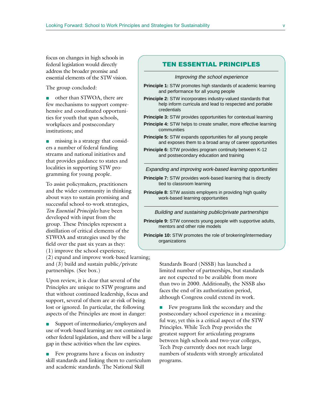focus on changes in high schools in federal legislation would directly address the broader promise and essential elements of the STW vision.

The group concluded:

- other than STWOA, there are few mechanisms to support comprehensive and coordinated opportunities for youth that span schools, workplaces and postsecondary institutions; and
- missing is a strategy that considers a number of federal funding streams and national initiatives and that provides guidance to states and localities in supporting STW programming for young people.

To assist policymakers, practitioners and the wider community in thinking about ways to sustain promising and successful school-to-work strategies, *Ten Essential Principles* have been developed with input from the group. These Principles represent a distillation of critical elements of the STWOA and strategies used by the field over the past six years as they: (1) improve the school experience;

(2) expand and improve work-based learning; and (3) build and sustain public/private partnerships. (See box.)

Upon review, it is clear that several of the Principles are unique to STW programs and that without continued leadership, focus and support, several of them are at-risk of being lost or ignored. In particular, the following aspects of the Principles are most in danger:

■ Support of intermediaries/employers and use of work-based learning are not contained in other federal legislation, and there will be a large gap in these activities when the law expires.

■ Few programs have a focus on industry skill standards and linking them to curriculum and academic standards. The National Skill

### TEN ESSENTIAL PRINCIPLES

Improving the school experience

- **Principle 1:** STW promotes high standards of academic learning and performance for all young people
- **Principle 2:** STW incorporates industry-valued standards that help inform curricula and lead to respected and portable credentials

**Principle 3:** STW provides opportunities for contextual learning

- **Principle 4:** STW helps to create smaller, more effective learning communities
- **Principle 5:** STW expands opportunities for all young people and exposes them to a broad array of career opportunities
- **Principle 6:** STW provides program continuity between K-12 and postsecondary education and training

Expanding and improving work-based learning opportunities

- **Principle 7:** STW provides work-based learning that is directly tied to classroom learning
- **Principle 8:** STW assists employers in providing high quality work-based learning opportunities

Building and sustaining public/private partnerships

**Principle 9:** STW connects young people with supportive adults, mentors and other role models

**Principle 10:** STW promotes the role of brokering/intermediary organizations

> Standards Board (NSSB) has launched a limited number of partnerships, but standards are not expected to be available from more than two in 2000. Additionally, the NSSB also faces the end of its authorization period, although Congress could extend its work.

> ■ Few programs link the secondary and the postsecondary school experience in a meaningful way, yet this is a critical aspect of the STW Principles. While Tech Prep provides the greatest support for articulating programs between high schools and two-year colleges, Tech Prep currently does not reach large numbers of students with strongly articulated programs.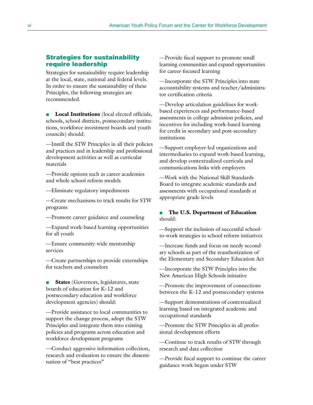### Strategies for sustainability require leadership

Strategies for sustainability require leadership at the local, state, national and federal levels. In order to ensure the sustainability of these Principles, the following strategies are recommended.

■ **Local Institutions** (local elected officials, schools, school districts, postsecondary institutions, workforce investment boards and youth councils) should:

—Instill the STW Principles in all their policies and practices and in leadership and professional development activities as well as curricular materials

—Provide options such as career academies and whole school reform models

—Eliminate regulatory impediments

—Create mechanisms to track results for STW programs

—Promote career guidance and counseling

—Expand work-based learning opportunities for all youth

—Ensure community-wide mentorship services

—Create partnerships to provide externships for teachers and counselors

■ **States** (Governors, legislatures, state boards of education for K–12 and postsecondary education and workforce development agencies) should:

—Provide assistance to local communities to support the change process, adopt the STW Principles and integrate them into existing policies and programs across education and workforce development programs

—Conduct aggressive information collection, research and evaluation to ensure the dissemination of "best practices"

—Provide fiscal support to promote small learning communities and expand opportunities for career-focused learning

—Incorporate the STW Principles into state accountability systems and teacher/administrator certification criteria

—Develop articulation guidelines for workbased experiences and performance-based assessments in college admission policies, and incentives for including work-based learning for credit in secondary and post-secondary institutions

—Support employer-led organizations and intermediaries to expand work-based learning, and develop contextualized curricula and communications links with employers

—Work with the National Skill Standards Board to integrate academic standards and assessments with occupational standards at appropriate grade levels

### ■ **The U.S. Department of Education** should:

—Support the inclusion of successful schoolto-work strategies in school reform initiatives

—Increase funds and focus on needy secondary schools as part of the reauthorization of the Elementary and Secondary Education Act

—Incorporate the STW Principles into the New American High Schools initiative

—Promote the improvement of connections between the K–12 and postsecondary systems

—Support demonstrations of contextualized learning based on integrated academic and occupational standards

—Promote the STW Principles in all professional development efforts

—Continue to track results of STW through research and data collection

—Provide fiscal support to continue the career guidance work begun under STW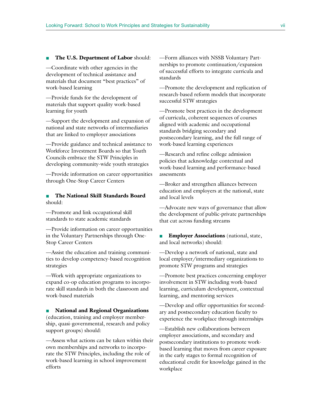#### ■ **The U.S. Department of Labor** should:

—Coordinate with other agencies in the development of technical assistance and materials that document "best practices" of work-based learning

—Provide funds for the development of materials that support quality work-based learning for youth

—Support the development and expansion of national and state networks of intermediaries that are linked to employer associations

—Provide guidance and technical assistance to Workforce Investment Boards so that Youth Councils embrace the STW Principles in developing community-wide youth strategies

—Provide information on career opportunities through One-Stop Career Centers

### ■ **The National Skill Standards Board** should:

—Promote and link occupational skill standards to state academic standards

—Provide information on career opportunities in the Voluntary Partnerships through One-Stop Career Centers

—Assist the education and training communities to develop competency-based recognition strategies

—Work with appropriate organizations to expand co-op education programs to incorporate skill standards in both the classroom and work-based materials

■ **National and Regional Organizations** (education, training and employer membership, quasi-governmental, research and policy support groups) should:

—Assess what actions can be taken within their own memberships and networks to incorporate the STW Principles, including the role of work-based learning in school improvement efforts

—Form alliances with NSSB Voluntary Partnerships to promote continuation/expansion of successful efforts to integrate curricula and standards

—Promote the development and replication of research-based reform models that incorporate successful STW strategies

—Promote best practices in the development of curricula, coherent sequences of courses aligned with academic and occupational standards bridging secondary and postsecondary learning, and the full range of work-based learning experiences

—Research and refine college admission policies that acknowledge contextual and work-based learning and performance-based assessments

—Broker and strengthen alliances between education and employers at the national, state and local levels

—Advocate new ways of governance that allow the development of public-private partnerships that cut across funding streams

■ **Employer Associations** (national, state, and local networks) should:

—Develop a network of national, state and local employer/intermediary organizations to promote STW programs and strategies

—Promote best practices concerning employer involvement in STW including work-based learning, curriculum development, contextual learning, and mentoring services

—Develop and offer opportunities for secondary and postsecondary education faculty to experience the workplace through internships

—Establish new collaborations between employer associations, and secondary and postsecondary institutions to promote workbased learning that moves from career exposure in the early stages to formal recognition of educational credit for knowledge gained in the workplace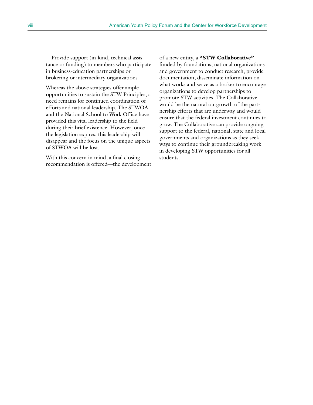—Provide support (in-kind, technical assistance or funding) to members who participate in business-education partnerships or brokering or intermediary organizations

Whereas the above strategies offer ample opportunities to sustain the STW Principles, a need remains for continued coordination of efforts and national leadership. The STWOA and the National School to Work Office have provided this vital leadership to the field during their brief existence. However, once the legislation expires, this leadership will disappear and the focus on the unique aspects of STWOA will be lost.

With this concern in mind, a final closing recommendation is offered—the development

of a new entity, a **"STW Collaborative"** funded by foundations, national organizations and government to conduct research, provide documentation, disseminate information on what works and serve as a broker to encourage organizations to develop partnerships to promote STW activities. The Collaborative would be the natural outgrowth of the partnership efforts that are underway and would ensure that the federal investment continues to grow. The Collaborative can provide ongoing support to the federal, national, state and local governments and organizations as they seek ways to continue their groundbreaking work in developing STW opportunities for all students.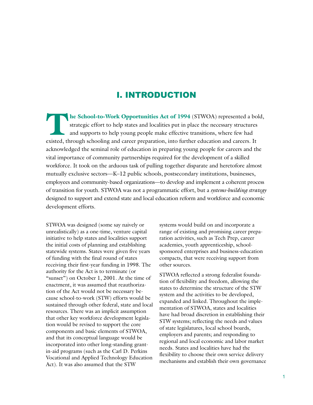### I. INTRODUCTION

**The School-to-Work Opportunities Act of 1994** (STWOA) represented a bold, strategic effort to help states and localities put in place the necessary structures and supports to help young people make effective transitions, strategic effort to help states and localities put in place the necessary structures and supports to help young people make effective transitions, where few had existed, through schooling and career preparation, into further education and careers. It acknowledged the seminal role of education in preparing young people for careers and the vital importance of community partnerships required for the development of a skilled workforce. It took on the arduous task of pulling together disparate and heretofore almost mutually exclusive sectors—K–12 public schools, postsecondary institutions, businesses, employees and community-based organizations—to develop and implement a coherent process of transition for youth. STWOA was not a programmatic effort, but a *systems-building strategy* designed to support and extend state and local education reform and workforce and economic development efforts.

STWOA was designed (some say naively or unrealistically) as a one-time, venture capital initiative to help states and localities support the initial costs of planning and establishing statewide systems. States were given five years of funding with the final round of states receiving their first-year funding in 1998. The authority for the Act is to terminate (or "sunset") on October 1, 2001. At the time of enactment, it was assumed that reauthorization of the Act would not be necessary because school-to-work (STW) efforts would be sustained through other federal, state and local resources. There was an implicit assumption that other key workforce development legislation would be revised to support the core components and basic elements of STWOA, and that its conceptual language would be incorporated into other long-standing grantin-aid programs (such as the Carl D. Perkins Vocational and Applied Technology Education Act). It was also assumed that the STW

systems would build on and incorporate a range of existing and promising career preparation activities, such as Tech Prep, career academies, youth apprenticeship, schoolsponsored enterprises and business-education compacts, that were receiving support from other sources.

STWOA reflected a strong federalist foundation of flexibility and freedom, allowing the states to determine the structure of the STW system and the activities to be developed, expanded and linked. Throughout the implementation of STWOA, states and localities have had broad discretion in establishing their STW systems; reflecting the needs and values of state legislatures, local school boards, employers and parents; and responding to regional and local economic and labor market needs. States and localities have had the flexibility to choose their own service delivery mechanisms and establish their own governance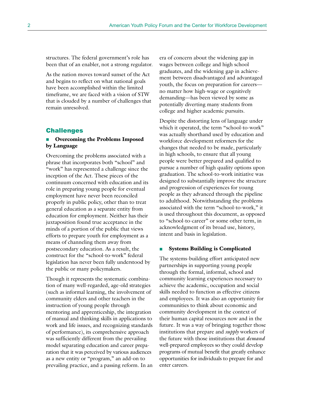structures. The federal government's role has been that of an enabler, not a strong regulator.

As the nation moves toward sunset of the Act and begins to reflect on what national goals have been accomplished within the limited timeframe, we are faced with a vision of STW that is clouded by a number of challenges that remain unresolved.

### Challenges

### ■ **Overcoming the Problems Imposed by Language**

Overcoming the problems associated with a phrase that incorporates both "school" and "work" has represented a challenge since the inception of the Act. These pieces of the continuum concerned with education and its role in preparing young people for eventual employment have never been reconciled properly in public policy, other than to treat general education as a separate entity from education for employment. Neither has their juxtaposition found true acceptance in the minds of a portion of the public that views efforts to prepare youth for employment as a means of channeling them away from postsecondary education. As a result, the construct for the "school-to-work" federal legislation has never been fully understood by the public or many policymakers.

Though it represents the systematic combination of many well-regarded, age-old strategies (such as informal learning, the involvement of community elders and other teachers in the instruction of young people through mentoring and apprenticeship, the integration of manual and thinking skills in applications to work and life issues, and recognizing standards of performance), its comprehensive approach was sufficiently different from the prevailing model separating education and career preparation that it was perceived by various audiences as a new entity or "program," an add-on to prevailing practice, and a passing reform. In an era of concern about the widening gap in wages between college and high school graduates, and the widening gap in achievement between disadvantaged and advantaged youth, the focus on preparation for careers no matter how high-wage or cognitively demanding—has been viewed by some as potentially diverting many students from college and higher academic pursuits.

Despite the distorting lens of language under which it operated, the term "school-to-work" was actually shorthand used by education and workforce development reformers for the changes that needed to be made, particularly in high schools, to ensure that all young people were better prepared and qualified to pursue a number of high quality options upon graduation. The school-to-work initiative was designed to substantially improve the structure and progression of experiences for young people as they advanced through the pipeline to adulthood. Notwithstanding the problems associated with the term "school-to-work," it is used throughout this document, as opposed to "school-to-career" or some other term, in acknowledgment of its broad use, history, intent and basis in legislation.

#### **Systems Building is Complicated**

The systems-building effort anticipated new partnerships in supporting young people through the formal, informal, school and community learning experiences necessary to achieve the academic, occupation and social skills needed to function as effective citizens and employees. It was also an opportunity for communities to think about economic and community development in the context of their human capital resources now and in the future. It was a way of bringing together those institutions that prepare and *supply* workers of the future with those institutions that *demand* well-prepared employees so they could develop programs of mutual benefit that greatly enhance opportunities for individuals to prepare for and enter careers.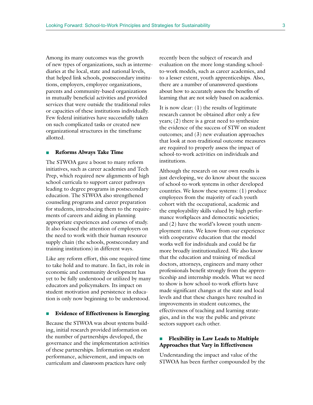Among its many outcomes was the growth of new types of organizations, such as intermediaries at the local, state and national levels, that helped link schools, postsecondary institutions, employers, employee organizations, parents and community-based organizations in mutually beneficial activities and provided services that were outside the traditional roles or capacities of these institutions individually. Few federal initiatives have successfully taken on such complicated tasks or created new organizational structures in the timeframe allotted.

#### ■ **Reforms Always Take Time**

The STWOA gave a boost to many reform initiatives, such as career academies and Tech Prep, which required new alignments of high school curricula to support career pathways leading to degree programs in postsecondary education. The STWOA also strengthened counseling programs and career preparation for students, introducing them to the requirements of careers and aiding in planning appropriate experiences and courses of study. It also focused the attention of employers on the need to work with their human resource supply chain (the schools, postsecondary and training institutions) in different ways.

Like any reform effort, this one required time to take hold and to mature. In fact, its role in economic and community development has yet to be fully understood or utilized by many educators and policymakers. Its impact on student motivation and persistence in education is only now beginning to be understood.

#### ■ **Evidence of Effectiveness is Emerging**

Because the STWOA was about systems building, initial research provided information on the number of partnerships developed, the governance and the implementation activities of these partnerships. Information on student performance, achievement, and impacts on curriculum and classroom practices have only

recently been the subject of research and evaluation on the more long-standing schoolto-work models, such as career academies, and to a lesser extent, youth apprenticeships. Also, there are a number of unanswered questions about how to accurately assess the benefits of learning that are not solely based on academics.

It is now clear: (1) the results of legitimate research cannot be obtained after only a few years; (2) there is a great need to synthesize the evidence of the success of STW on student outcomes; and (3) new evaluation approaches that look at non-traditional outcome measures are required to properly assess the impact of school-to-work activities on individuals and institutions.

Although the research on our own results is just developing, we do know about the success of school-to-work systems in other developed countries. We know these systems: (1) produce employees from the majority of each youth cohort with the occupational, academic and the employability skills valued by high performance workplaces and democratic societies; and (2) have the world's lowest youth unemployment rates. We know from our experience with cooperative education that the model works well for individuals and could be far more broadly institutionalized. We also know that the education and training of medical doctors, attorneys, engineers and many other professionals benefit strongly from the apprenticeship and internship models. What we need to show is how school-to-work efforts have made significant changes at the state and local levels and that these changes have resulted in improvements in student outcomes, the effectiveness of teaching and learning strategies, and in the way the public and private sectors support each other.

### ■ **Flexibility in Law Leads to Multiple Approaches that Vary in Effectiveness**

Understanding the impact and value of the STWOA has been further compounded by the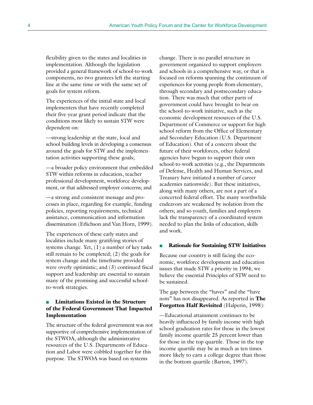flexibility given to the states and localities in implementation. Although the legislation provided a general framework of school-to-work components, no two grantees left the starting line at the same time or with the same set of goals for system reform.

The experiences of the initial state and local implementers that have recently completed their five-year grant period indicate that the conditions most likely to sustain STW were dependent on:

—strong leadership at the state, local and school building levels in developing a consensus around the goals for STW and the implementation activities supporting these goals;

—a broader policy environment that embedded STW within reforms in education, teacher professional development, workforce development, or that addressed employer concerns; and

—a strong and consistent message and processes in place, regarding for example, funding policies, reporting requirements, technical assistance, communication and information dissemination (Erlichson and Van Horn, 1999).

The experiences of these early states and localities include many gratifying stories of systems change. Yet, (1) a number of key tasks still remain to be completed; (2) the goals for system change and the timeframe provided were overly optimistic; and (3) continued fiscal support and leadership are essential to sustain many of the promising and successful schoolto-work strategies.

### ■ **Limitations Existed in the Structure of the Federal Government That Impacted Implementation**

The structure of the federal government was not supportive of comprehensive implementation of the STWOA, although the administrative resources of the U.S. Departments of Education and Labor were cobbled together for this purpose. The STWOA was based on systems

change. There is no parallel structure in government organized to support employers and schools in a comprehensive way, or that is focused on reforms spanning the continuum of experiences for young people from elementary, through secondary and postsecondary education. There was much that other parts of government could have brought to bear on the school-to-work initiative, such as the economic development resources of the U.S. Department of Commerce or support for high school reform from the Office of Elementary and Secondary Education (U.S. Department of Education). Out of a concern about the future of their workforces, other federal agencies have begun to support their own school-to-work activities (e.g., the Departments of Defense, Health and Human Services, and Treasury have initiated a number of career academies nationwide). But these initiatives, along with many others, are not a part of a concerted federal effort. The many worthwhile endeavors are weakened by isolation from the others; and so youth, families and employers lack the transparency of a coordinated system needed to plan the links of education, skills and work.

#### ■ **Rationale for Sustaining STW Initiatives**

Because our country is still facing the economic, workforce development and education issues that made STW a priority in 1994, we believe the essential Principles of STW need to be sustained.

The gap between the "haves" and the "have nots" has not disappeared. As reported in **The Forgotten Half Revisited** (Halperin, 1998):

—Educational attainment continues to be heavily influenced by family income with high school graduation rates for those in the lowest family income quartile 25 percent lower than for those in the top quartile. Those in the top income quartile may be as much as ten times more likely to earn a college degree than those in the bottom quartile (Barton, 1997).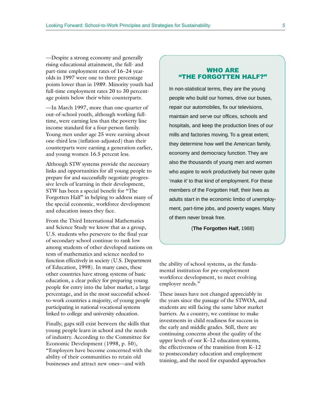—Despite a strong economy and generally rising educational attainment, the full- and part-time employment rates of 16–24 yearolds in 1997 were one to three percentage points lower than in 1989. Minority youth had full-time employment rates 20 to 30 percentage points below their white counterparts.

—In March 1997, more than one-quarter of out-of-school youth, although working fulltime, were earning less than the poverty line income standard for a four-person family. Young men under age 25 were earning about one-third less (inflation-adjusted) than their counterparts were earning a generation earlier, and young women 16.5 percent less.

Although STW systems provide the necessary links and opportunities for all young people to prepare for and successfully negotiate progressive levels of learning in their development, STW has been a special benefit for "The Forgotten Half" in helping to address many of the special economic, workforce development and education issues they face.

From the Third International Mathematics and Science Study we know that as a group, U.S. students who persevere to the final year of secondary school continue to rank low among students of other developed nations on tests of mathematics and science needed to function effectively in society (U.S. Department of Education, 1998). In many cases, these other countries have strong systems of basic education, a clear policy for preparing young people for entry into the labor market, a large percentage, and in the most successful schoolto-work countries a majority, of young people participating in national vocational systems linked to college and university education.

Finally, gaps still exist between the skills that young people learn in school and the needs of industry. According to the Committee for Economic Development (1998, p. 50), "Employers have become concerned with the ability of their communities to retain old businesses and attract new ones—and with

### WHO ARE "THE FORGOTTEN HALF?"

In non-statistical terms, they are the young people who build our homes, drive our buses, repair our automobiles, fix our televisions, maintain and serve our offices, schools and hospitals, and keep the production lines of our mills and factories moving. To a great extent, they determine how well the American family, economy and democracy function. They are also the thousands of young men and women who aspire to work productively but never quite 'make it' to that kind of employment. For these members of the Forgotten Half, their lives as adults start in the economic limbo of unemployment, part-time jobs, and poverty wages. Many of them never break free.

(**The Forgotten Half,** 1988)

the ability of school systems, as the fundamental institution for pre-employment workforce development, to meet evolving employer needs."

These issues have not changed appreciably in the years since the passage of the STWOA, and students are still facing the same labor market barriers. As a country, we continue to make investments in child readiness for success in the early and middle grades. Still, there are continuing concerns about the quality of the upper levels of our K–12 education systems, the effectiveness of the transition from K–12 to postsecondary education and employment training, and the need for expanded approaches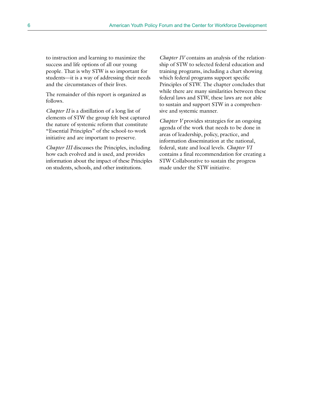to instruction and learning to maximize the success and life options of all our young people. That is why STW is so important for students—it is a way of addressing their needs and the circumstances of their lives.

The remainder of this report is organized as follows.

*Chapter II* is a distillation of a long list of elements of STW the group felt best captured the nature of systemic reform that constitute "Essential Principles" of the school-to-work initiative and are important to preserve.

*Chapter III* discusses the Principles, including how each evolved and is used, and provides information about the impact of these Principles on students, schools, and other institutions.

*Chapter IV* contains an analysis of the relationship of STW to selected federal education and training programs, including a chart showing which federal programs support specific Principles of STW. The chapter concludes that while there are many similarities between these federal laws and STW, these laws are not able to sustain and support STW in a comprehensive and systemic manner.

*Chapter V* provides strategies for an ongoing agenda of the work that needs to be done in areas of leadership, policy, practice, and information dissemination at the national, federal, state and local levels. *Chapter VI* contains a final recommendation for creating a STW Collaborative to sustain the progress made under the STW initiative.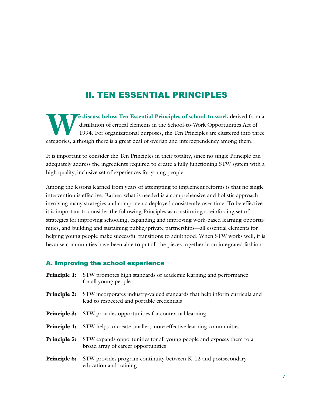### II. TEN ESSENTIAL PRINCIPLES

**We discuss below Ten Essential Principles of school-to-work** derived from a distillation of critical elements in the School-to-Work Opportunities Act of 1994. For organizational purposes, the Ten Principles are clustered distillation of critical elements in the School-to-Work Opportunities Act of 1994. For organizational purposes, the Ten Principles are clustered into three categories, although there is a great deal of overlap and interdependency among them.

It is important to consider the Ten Principles in their totality, since no single Principle can adequately address the ingredients required to create a fully functioning STW system with a high quality, inclusive set of experiences for young people.

Among the lessons learned from years of attempting to implement reforms is that no single intervention is effective. Rather, what is needed is a comprehensive and holistic approach involving many strategies and components deployed consistently over time. To be effective, it is important to consider the following Principles as constituting a reinforcing set of strategies for improving schooling, expanding and improving work-based learning opportunities, and building and sustaining public/private partnerships—all essential elements for helping young people make successful transitions to adulthood. When STW works well, it is because communities have been able to put all the pieces together in an integrated fashion.

### A. Improving the school experience

- **Principle 1:** STW promotes high standards of academic learning and performance for all young people
- **Principle 2:** STW incorporates industry-valued standards that help inform curricula and lead to respected and portable credentials
- **Principle 3:** STW provides opportunities for contextual learning
- **Principle 4:** STW helps to create smaller, more effective learning communities
- **Principle 5:** STW expands opportunities for all young people and exposes them to a broad array of career opportunities
- **Principle 6:** STW provides program continuity between K–12 and postsecondary education and training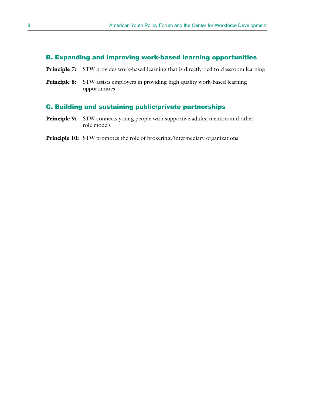### B. Expanding and improving work-based learning opportunities

- **Principle 7:** STW provides work-based learning that is directly tied to classroom learning
- **Principle 8:** STW assists employers in providing high quality work-based learning opportunities

### C. Building and sustaining public/private partnerships

- **Principle 9:** STW connects young people with supportive adults, mentors and other role models
- **Principle 10:** STW promotes the role of brokering/intermediary organizations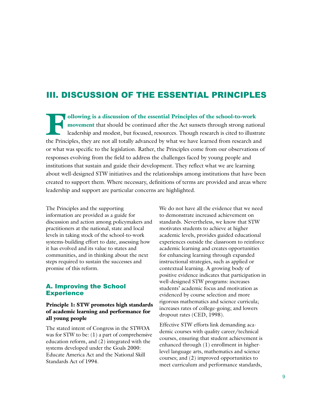### III. DISCUSSION OF THE ESSENTIAL PRINCIPLES

**Following is a discussion of the essential Principles of the school-to-work**<br> **Following is a discussion of the essential Principles of the school-to-work**<br>
leadership and modest, but focused, resources. Though research i **movement** that should be continued after the Act sunsets through strong national leadership and modest, but focused, resources. Though research is cited to illustrate the Principles, they are not all totally advanced by what we have learned from research and or what was specific to the legislation. Rather, the Principles come from our observations of responses evolving from the field to address the challenges faced by young people and institutions that sustain and guide their development. They reflect what we are learning about well-designed STW initiatives and the relationships among institutions that have been created to support them. Where necessary, definitions of terms are provided and areas where leadership and support are particular concerns are highlighted.

The Principles and the supporting information are provided as a guide for discussion and action among policymakers and practitioners at the national, state and local levels in taking stock of the school-to-work systems-building effort to date, assessing how it has evolved and its value to states and communities, and in thinking about the next steps required to sustain the successes and promise of this reform.

### A. Improving the School **Experience**

### **Principle 1: STW promotes high standards of academic learning and performance for all young people**

The stated intent of Congress in the STWOA was for STW to be: (1) a part of comprehensive education reform, and (2) integrated with the systems developed under the Goals 2000: Educate America Act and the National Skill Standards Act of 1994.

We do not have all the evidence that we need to demonstrate increased achievement on standards. Nevertheless, we know that STW motivates students to achieve at higher academic levels, provides guided educational experiences outside the classroom to reinforce academic learning and creates opportunities for enhancing learning through expanded instructional strategies, such as applied or contextual learning. A growing body of positive evidence indicates that participation in well-designed STW programs: increases students' academic focus and motivation as evidenced by course selection and more rigorous mathematics and science curricula; increases rates of college-going; and lowers dropout rates (CED, 1998).

Effective STW efforts link demanding academic courses with quality career/technical courses, ensuring that student achievement is enhanced through (1) enrollment in higherlevel language arts, mathematics and science courses; and (2) improved opportunities to meet curriculum and performance standards,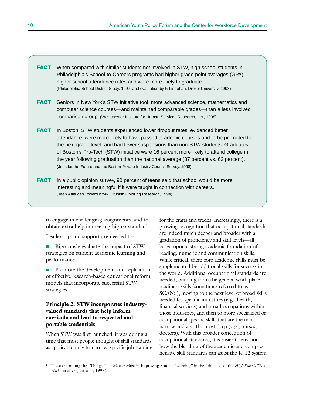- **FACT** When compared with similar students not involved in STW, high school students in Philadelphia's School-to-Careers programs had higher grade point averages (GPA), higher school attendance rates and were more likely to graduate. (Philadelphia School District Study, 1997; and evaluation by F. Linnehan, Drexel University, 1998)
- **FACT** Seniors in New York's STW initiative took more advanced science, mathematics and computer science courses—and maintained comparable grades—than a less involved comparison group. (Westchester Institute for Human Services Research, Inc., 1998)
- **FACT** In Boston, STW students experienced lower dropout rates, evidenced better attendance, were more likely to have passed academic courses and to be promoted to the next grade level, and had fewer suspensions than non-STW students. Graduates of Boston's Pro-Tech (STW) initiative were 16 percent more likely to attend college in the year following graduation than the national average (87 percent vs. 62 percent). (Jobs for the Future and the Boston Private Industry Council Survey, 1998)
- **FACT** In a public opinion survey, 90 percent of teens said that school would be more interesting and meaningful if it were taught in connection with careers. (Teen Attitudes Toward Work, Bruskin Goldring Research, 1994)

to engage in challenging assignments, and to obtain extra help in meeting higher standards.<sup>1</sup>

Leadership and support are needed to:

- Rigorously evaluate the impact of STW strategies on student academic learning and performance.
- Promote the development and replication of effective research-based educational reform models that incorporate successful STW strategies.

### **Principle 2: STW incorporates industryvalued standards that help inform curricula and lead to respected and portable credentials**

When STW was first launched, it was during a time that most people thought of skill standards as applicable only to narrow, specific job training for the crafts and trades. Increasingly, there is a growing recognition that occupational standards are indeed much deeper and broader with a gradation of proficiency and skill levels—all based upon a strong academic foundation of reading, numeric and communication skills. While critical, these core academic skills must be supplemented by additional skills for success in the world. Additional occupational standards are needed, building from the general work-place readiness skills (sometimes referred to as SCANS), moving to the next level of broad skills needed for specific industries (e.g., health, financial services) and broad occupations within those industries, and then to more specialized or occupational specific skills that are the most narrow and also the most deep (e.g., nurses, doctors). With this broader conception of occupational standards, it is easier to envision how the blending of the academic and comprehensive skill standards can assist the K–12 system

<sup>1</sup> These are among the "Things That Matter Most in Improving Student Learning" in the Principles of the *High Schools That Work* initiative (Bottoms, 1998).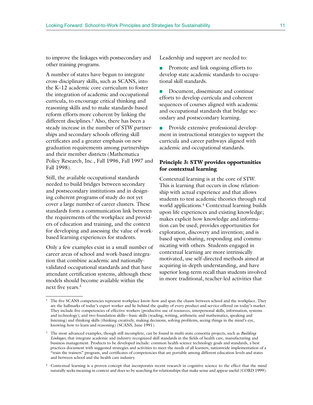to improve the linkages with postsecondary and other training programs.

A number of states have begun to integrate cross-disciplinary skills, such as SCANS, into the K–12 academic core curriculum to foster the integration of academic and occupational curricula, to encourage critical thinking and reasoning skills and to make standards-based reform efforts more coherent by linking the different disciplines.2 Also, there has been a steady increase in the number of STW partnerships and secondary schools offering skill certificates and a greater emphasis on new graduation requirements among partnerships and their member districts (Mathematica Policy Research, Inc., Fall 1996, Fall 1997 and Fall 1998).

Still, the available occupational standards needed to build bridges between secondary and postsecondary institutions and in designing coherent programs of study do not yet cover a large number of career clusters. These standards form a communication link between the requirements of the workplace and providers of education and training, and the context for developing and assessing the value of workbased learning experiences for students.

Only a few examples exist in a small number of career areas of school and work-based integration that combine academic and nationallyvalidated occupational standards and that have attendant certification systems, although these models should become available within the next five years.<sup>3</sup>

Leadership and support are needed to:

■ Promote and link ongoing efforts to develop state academic standards to occupational skill standards.

■ Document, disseminate and continue efforts to develop curricula and coherent sequences of courses aligned with academic and occupational standards that bridge secondary and postsecondary learning.

Provide extensive professional development in instructional strategies to support the curricula and career pathways aligned with academic and occupational standards.

### **Principle 3: STW provides opportunities for contextual learning**

Contextual learning is at the core of STW. This is learning that occurs in close relationship with actual experience and that allows students to test academic theories through real world applications.4 Contextual learning builds upon life experiences and existing knowledge; makes explicit how knowledge and information can be used; provides opportunities for exploration, discovery and invention; and is based upon sharing, responding and communicating with others. Students engaged in contextual learning are more intrinsically motivated, use self-directed methods aimed at acquiring in-depth understanding, and have superior long-term recall than students involved in more traditional, teacher-led activities that

<sup>4</sup> Contextual learning is a proven concept that incorporates recent research in cognitive science to the effect that the mind naturally seeks meaning in context and does so by searching for relationships that make sense and appear useful (CORD 1999).

<sup>&</sup>lt;sup>2</sup> The five SCANS competencies represent workplace know-how and span the chasm between school and the workplace. They are the hallmarks of today's expert worker and lie behind the quality of every product and service offered on today's market. They include five competencies of effective workers (productive use of resources, interpersonal skills, information, systems and technology); and two foundation skills—basic skills (reading, writing, arithmetic and mathematics, speaking and listening) and thinking skills (thinking creatively, making decisions, solving problems, seeing things in the mind's eye, knowing how to learn and reasoning) (SCANS, June 1991).

<sup>3</sup> The most advanced examples, though still incomplete, can be found in multi-state consortia projects, such as *Building Linkages*, that integrate academic and industry-recognized skill standards in the fields of health care, manufacturing and business management. Products to be developed include: common health science technology goals and standards, a best practices document with suggested strategies and activities to meet the needs of all learners, nationwide implementation of a "train the trainers" program, and certificates of competencies that are portable among different education levels and states and between school and the health care industry.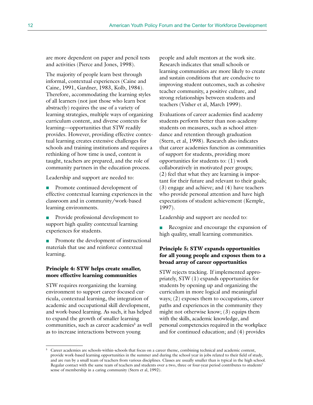are more dependent on paper and pencil tests and activities (Pierce and Jones, 1998).

The majority of people learn best through informal, contextual experiences (Caine and Caine, 1991, Gardner, 1983, Kolb, 1984). Therefore, accommodating the learning styles of all learners (not just those who learn best abstractly) requires the use of a variety of learning strategies, multiple ways of organizing curriculum content, and diverse contexts for learning—opportunities that STW readily provides. However, providing effective contextual learning creates extensive challenges for schools and training institutions and requires a rethinking of how time is used, content is taught, teachers are prepared, and the role of community partners in the education process.

Leadership and support are needed to:

■ Promote continued development of effective contextual learning experiences in the classroom and in community/work-based learning environments.

- Provide professional development to support high quality contextual learning experiences for students.
- Promote the development of instructional materials that use and reinforce contextual learning.

### **Principle 4: STW helps create smaller, more effective learning communities**

STW requires reorganizing the learning environment to support career-focused curricula, contextual learning, the integration of academic and occupational skill development, and work-based learning. As such, it has helped to expand the growth of smaller learning communities, such as career academies<sup>5</sup> as well as to increase interactions between young

people and adult mentors at the work site. Research indicates that small schools or learning communities are more likely to create and sustain conditions that are conducive to improving student outcomes, such as cohesive teacher community, a positive culture, and strong relationships between students and teachers (Visher et al, March 1999).

Evaluations of career academies find academy students perform better than non-academy students on measures, such as school attendance and retention through graduation (Stern, et al, 1998). Research also indicates that career academies function as communities of support for students, providing more opportunities for students to: (1) work collaboratively in motivated peer groups; (2) feel that what they are learning is important for their future and relevant to their goals; (3) engage and achieve; and (4) have teachers who provide personal attention and have high expectations of student achievement (Kemple, 1997).

Leadership and support are needed to:

■ Recognize and encourage the expansion of high quality, small learning communities.

### **Principle 5: STW expands opportunities for all young people and exposes them to a broad array of career opportunities**

STW rejects tracking. If implemented appropriately, STW (1) expands opportunities for students by opening up and organizing the curriculum in more logical and meaningful ways; (2) exposes them to occupations, career paths and experiences in the community they might not otherwise know; (3) equips them with the skills, academic knowledge, and personal competencies required in the workplace and for continued education; and (4) provides

<sup>5</sup> Career academies are schools-within-schools that focus on a career theme, combining technical and academic content, provide work-based learning opportunities in the summer and during the school year in jobs related to their field of study, and are run by a small team of teachers from various disciplines. Classes are usually smaller than is typical in the high school. Regular contact with the same team of teachers and students over a two, three or four-year period contributes to students' sense of membership in a caring community (Stern et al, 1992).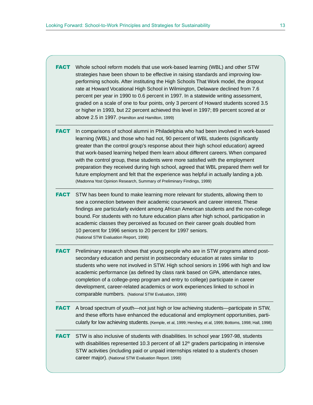**FACT** Whole school reform models that use work-based learning (WBL) and other STW strategies have been shown to be effective in raising standards and improving lowperforming schools. After instituting the High Schools That Work model, the dropout rate at Howard Vocational High School in Wilmington, Delaware declined from 7.6 percent per year in 1990 to 0.6 percent in 1997. In a statewide writing assessment, graded on a scale of one to four points, only 3 percent of Howard students scored 3.5 or higher in 1993, but 22 percent achieved this level in 1997; 89 percent scored at or above 2.5 in 1997. (Hamilton and Hamilton, 1999)

**FACT** In comparisons of school alumni in Philadelphia who had been involved in work-based learning (WBL) and those who had not, 90 percent of WBL students (significantly greater than the control group's response about their high school education) agreed that work-based learning helped them learn about different careers. When compared with the control group, these students were more satisfied with the employment preparation they received during high school, agreed that WBL prepared them well for future employment and felt that the experience was helpful in actually landing a job. (Madonna Yost Opinion Research, Summary of Preliminary Findings, 1999)

**FACT** STW has been found to make learning more relevant for students, allowing them to see a connection between their academic coursework and career interest. These findings are particularly evident among African American students and the non-college bound. For students with no future education plans after high school, participation in academic classes they perceived as focused on their career goals doubled from 10 percent for 1996 seniors to 20 percent for 1997 seniors. (National STW Evaluation Report, 1998)

FACT Preliminary research shows that young people who are in STW programs attend postsecondary education and persist in postsecondary education at rates similar to students who were not involved in STW. High school seniors in 1996 with high and low academic performance (as defined by class rank based on GPA, attendance rates, completion of a college-prep program and entry to college) participate in career development, career-related academics or work experiences linked to school in comparable numbers. (National STW Evaluation, 1999)

FACT A broad spectrum of youth—not just high or low achieving students—participate in STW, and these efforts have enhanced the educational and employment opportunities, particularly for low achieving students. (Kemple, et al, 1999; Hershey, et al, 1999; Bottoms, 1998; Hall, 1998)

**FACT** STW is also inclusive of students with disabilities. In school year 1997-98, students with disabilities represented 10.3 percent of all 12<sup>th</sup> graders participating in intensive STW activities (including paid or unpaid internships related to a student's chosen career major). (National STW Evaluation Report. 1998)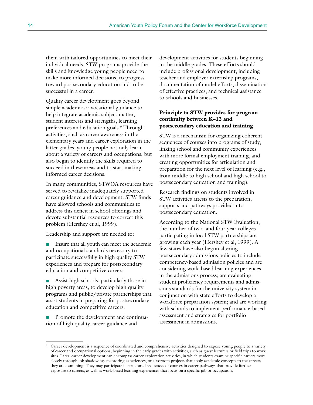them with tailored opportunities to meet their individual needs. STW programs provide the skills and knowledge young people need to make more informed decisions, to progress toward postsecondary education and to be successful in a career.

Quality career development goes beyond simple academic or vocational guidance to help integrate academic subject matter, student interests and strengths, learning preferences and education goals.6 Through activities, such as career awareness in the elementary years and career exploration in the latter grades, young people not only learn about a variety of careers and occupations, but also begin to identify the skills required to succeed in these areas and to start making informed career decisions.

In many communities, STWOA resources have served to revitalize inadequately supported career guidance and development. STW funds have allowed schools and communities to address this deficit in school offerings and devote substantial resources to correct this problem (Hershey et al, 1999).

Leadership and support are needed to:

■ Insure that all youth can meet the academic and occupational standards necessary to participate successfully in high quality STW experiences and prepare for postsecondary education and competitive careers.

Assist high schools, particularly those in high poverty areas, to develop high quality programs and public/private partnerships that assist students in preparing for postsecondary education and competitive careers.

■ Promote the development and continuation of high quality career guidance and

development activities for students beginning in the middle grades. These efforts should include professional development, including teacher and employer externship programs, documentation of model efforts, dissemination of effective practices, and technical assistance to schools and businesses.

### **Principle 6: STW provides for program continuity between K–12 and postsecondary education and training**

STW is a mechanism for organizing coherent sequences of courses into programs of study, linking school and community experiences with more formal employment training, and creating opportunities for articulation and preparation for the next level of learning (e.g., from middle to high school and high school to postsecondary education and training).

Research findings on students involved in STW activities attests to the preparation, supports and pathways provided into postsecondary education.

According to the National STW Evaluation, the number of two- and four-year colleges participating in local STW partnerships are growing each year (Hershey et al, 1999). A few states have also begun altering postsecondary admissions policies to include competency-based admission policies and are considering work-based learning experiences in the admissions process; are evaluating student proficiency requirements and admissions standards for the university system in conjunction with state efforts to develop a workforce preparation system; and are working with schools to implement performance-based assessment and strategies for portfolio assessment in admissions.

<sup>6</sup> Career development is a sequence of coordinated and comprehensive activities designed to expose young people to a variety of career and occupational options, beginning in the early grades with activities, such as guest lecturers or field trips to work sites. Later, career development can encompass career exploration activities, in which students examine specific careers more closely through job shadowing, mentoring experiences, or classroom projects that apply academic concepts to the careers they are examining. They may participate in structured sequences of courses in career pathways that provide further exposure to careers, as well as work-based learning experiences that focus on a specific job or occupation.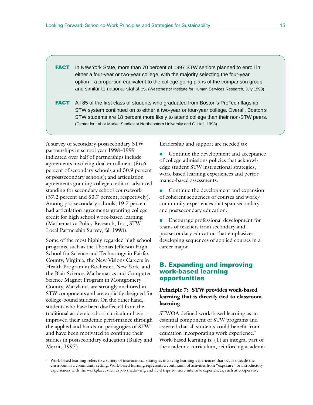- **FACT** In New York State, more than 70 percent of 1997 STW seniors planned to enroll in either a four-year or two-year college, with the majority selecting the four-year option—a proportion equivalent to the college-going plans of the comparison group and similar to national statistics. (Westchester Institute for Human Services Research, July 1998)
- **FACT** All 85 of the first class of students who graduated from Boston's ProTech flagship STW system continued on to either a two-year or four-year college. Overall, Boston's STW students are 18 percent more likely to attend college than their non-STW peers. (Center for Labor Market Studies at Northeastern University and G. Hall, 1998)

A survey of secondary-postsecondary STW partnerships in school year 1998–1999 indicated over half of partnerships include agreements involving dual enrollment (56.6 percent of secondary schools and 50.9 percent of postsecondary schools); and articulation agreements granting college credit or advanced standing for secondary school coursework (57.2 percent and 53.7 percent, respectively). Among postsecondary schools, 19.7 percent had articulation agreements granting college credit for high school work-based learning (Mathematica Policy Research, Inc., STW Local Partnership Survey, fall 1998).

Some of the most highly regarded high school programs, such as the Thomas Jefferson High School for Science and Technology in Fairfax County, Virginia, the New Visions Careers in Health Program in Rochester, New York, and the Blair Science, Mathematics and Computer Science Magnet Program in Montgomery County, Maryland, are strongly anchored in STW components and are explicitly designed for college-bound students. On the other hand, students who have been disaffected from the traditional academic school curriculum have improved their academic performance through the applied and hands-on pedagogies of STW and have been motivated to continue their studies in postsecondary education (Bailey and Merrit, 1997).

Leadership and support are needed to:

Continue the development and acceptance of college admissions policies that acknowledge student STW instructional strategies, work-based learning experiences and performance-based assessments.

■ Continue the development and expansion of coherent sequences of courses and work/ community experiences that span secondary and postsecondary education.

■ Encourage professional development for teams of teachers from secondary and postsecondary education that emphasizes developing sequences of applied courses in a career major.

### B. Expanding and improving work-based learning opportunities

### **Principle 7: STW provides work-based learning that is directly tied to classroom learning**

STWOA defined work-based learning as an essential component of STW programs and asserted that all students could benefit from education incorporating work experience.<sup>7</sup> Work-based learning is: (1) an integral part of the academic curriculum, reinforcing academic

<sup>7</sup> Work-based learning refers to a variety of instructional strategies involving learning experiences that occur outside the classroom in a community setting*.* Work-based learning represents a continuum of activities from "exposure" or introductory experiences with the workplace, such as job shadowing and field trips to more intensive experiences, such as cooperative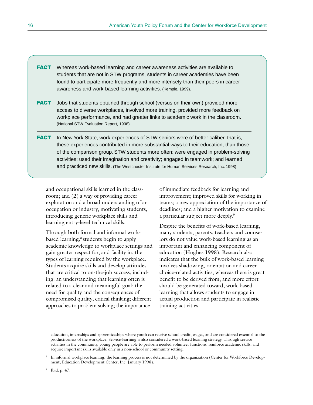- **FACT** Whereas work-based learning and career awareness activities are available to students that are not in STW programs, students in career academies have been found to participate more frequently and more intensely than their peers in career awareness and work-based learning activities. (Kemple, 1999).
- **FACT** Jobs that students obtained through school (versus on their own) provided more access to diverse workplaces, involved more training, provided more feedback on workplace performance, and had greater links to academic work in the classroom. (National STW Evaluation Report, 1998)
- FACT In New York State, work experiences of STW seniors were of better caliber, that is, these experiences contributed in more substantial ways to their education, than those of the comparison group. STW students more often: were engaged in problem-solving activities; used their imagination and creativity; engaged in teamwork; and learned and practiced new skills. (The Westchester Institute for Human Services Research, Inc. 1998)

and occupational skills learned in the classroom; and (2) a way of providing career exploration and a broad understanding of an occupation or industry, motivating students, introducing generic workplace skills and learning entry-level technical skills.

Through both formal and informal workbased learning,<sup>8</sup> students begin to apply academic knowledge to workplace settings and gain greater respect for, and facility in, the types of learning required by the workplace. Students acquire skills and develop attitudes that are critical to on-the-job success, including: an understanding that learning often is related to a clear and meaningful goal; the need for quality and the consequences of compromised quality; critical thinking; different approaches to problem solving; the importance

of immediate feedback for learning and improvement; improved skills for working in teams; a new appreciation of the importance of deadlines; and a higher motivation to examine a particular subject more deeply.9

Despite the benefits of work-based learning, many students, parents, teachers and counselors do not value work-based learning as an important and enhancing component of education (Hughes 1998). Research also indicates that the bulk of work-based learning involves shadowing, orientation and career choice-related activities, whereas there is great benefit to be derived from, and more effort should be generated toward, work-based learning that allows students to engage in actual production and participate in realistic training activities.

education, internships and apprenticeships where youth can receive school credit, wages, and are considered essential to the productiveness of the workplace. Service-learning is also considered a work-based learning strategy. Through service activities in the community, young people are able to perform needed volunteer functions, reinforce academic skills, and acquire important skills available only in a non-school or community setting.

<sup>8</sup> In informal workplace learning, the learning process is not determined by the organization (Center for Workforce Development, Education Development Center, Inc. January 1998).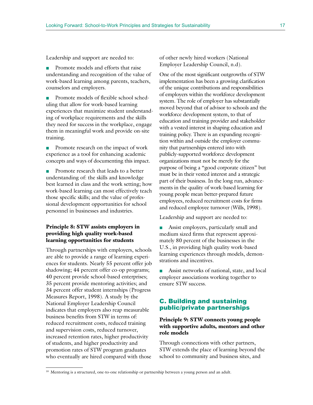Leadership and support are needed to:

■ Promote models and efforts that raise understanding and recognition of the value of work-based learning among parents, teachers, counselors and employers.

■ Promote models of flexible school scheduling that allow for work-based learning experiences that maximize student understanding of workplace requirements and the skills they need for success in the workplace, engage them in meaningful work and provide on-site training.

■ Promote research on the impact of work experience as a tool for enhancing academic concepts and ways of documenting this impact.

■ Promote research that leads to a better understanding of: the skills and knowledge best learned in class and the work setting; how work-based learning can most effectively teach those specific skills; and the value of professional development opportunities for school personnel in businesses and industries.

### **Principle 8: STW assists employers in providing high quality work-based learning opportunities for students**

Through partnerships with employers, schools are able to provide a range of learning experiences for students. Nearly 55 percent offer job shadowing; 44 percent offer co-op programs; 40 percent provide school-based enterprises; 35 percent provide mentoring activities; and 34 percent offer student internships (Progress Measures Report, 1998). A study by the National Employer Leadership Council indicates that employers also reap measurable business benefits from STW in terms of: reduced recruitment costs, reduced training and supervision costs, reduced turnover, increased retention rates, higher productivity of students, and higher productivity and promotion rates of STW program graduates who eventually are hired compared with those

of other newly hired workers (National Employer Leadership Council, n.d).

One of the most significant outgrowths of STW implementation has been a growing clarification of the unique contributions and responsibilities of employers within the workforce development system. The role of employer has substantially moved beyond that of advisor to schools and the workforce development system, to that of education and training provider and stakeholder with a vested interest in shaping education and training policy. There is an expanding recognition within and outside the employer community that partnerships entered into with publicly-supported workforce development organizations must not be merely for the purpose of being a "good corporate citizen" but must be in their vested interest and a strategic part of their business. In the long run, advancements in the quality of work-based learning for young people mean better-prepared future employees, reduced recruitment costs for firms and reduced employee turnover (Wills, 1998).

Leadership and support are needed to:

■ Assist employers, particularly small and medium sized firms that represent approximately 80 percent of the businesses in the U.S., in providing high quality work-based learning experiences through models, demonstrations and incentives.

■ Assist networks of national, state, and local employer associations working together to ensure STW success.

### C. Building and sustaining public/private partnerships

### **Principle 9: STW connects young people with supportive adults, mentors and other role models**

Through connections with other partners, STW extends the place of learning beyond the school to community and business sites, and

<sup>&</sup>lt;sup>10</sup> Mentoring is a structured, one-to-one relationship or partnership between a young person and an adult.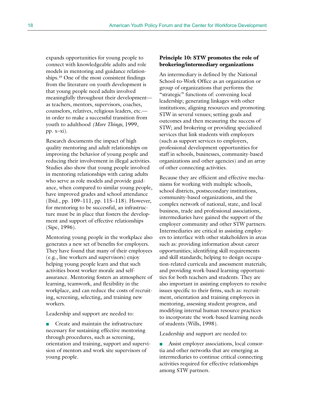expands opportunities for young people to connect with knowledgeable adults and role models in mentoring and guidance relationships.10 One of the most consistent findings from the literature on youth development is that young people need adults involved meaningfully throughout their development as teachers, mentors, supervisors, coaches, counselors, relatives, religious leaders, etc. in order to make a successful transition from youth to adulthood *(More Things*, 1999, pp. x–xi).

Research documents the impact of high quality mentoring and adult relationships on improving the behavior of young people and reducing their involvement in illegal activities. Studies also show that young people involved in mentoring relationships with caring adults who serve as role models and provide guidance, when compared to similar young people, have improved grades and school attendance (Ibid., pp. 109–111, pp. 115–118). However, for mentoring to be successful, an infrastructure must be in place that fosters the development and support of effective relationships (Sipe, 1996).

Mentoring young people in the workplace also generates a new set of benefits for employers. They have found that many of their employees (e.g., line workers and supervisors) enjoy helping young people learn and that such activities boost worker morale and selfassurance. Mentoring fosters an atmosphere of learning, teamwork, and flexibility in the workplace, and can reduce the costs of recruiting, screening, selecting, and training new workers.

Leadership and support are needed to:

■ Create and maintain the infrastructure necessary for sustaining effective mentoring through procedures, such as screening, orientation and training, support and supervision of mentors and work site supervisors of young people.

### **Principle 10: STW promotes the role of brokering/intermediary organizations**

An intermediary is defined by the National School-to-Work Office as an organization or group of organizations that performs the "strategic" functions of: convening local leadership; generating linkages with other institutions; aligning resources and promoting STW in several venues; setting goals and outcomes and then measuring the success of STW; and brokering or providing specialized services that link students with employers (such as support services to employers, professional development opportunities for staff in schools, businesses, community-based organizations and other agencies) and an array of other connecting activities.

Because they are efficient and effective mechanisms for working with multiple schools, school districts, postsecondary institutions, community-based organizations, and the complex network of national, state, and local business, trade and professional associations, intermediaries have gained the support of the employer community and other STW partners. Intermediaries are critical in assisting employers to interface with other stakeholders in areas such as: providing information about career opportunities; identifying skill requirements and skill standards; helping to design occupation-related curricula and assessment materials; and providing work-based learning opportunities for both teachers and students. They are also important in assisting employers to resolve issues specific to their firms, such as: recruitment, orientation and training employees in mentoring, assessing student progress, and modifying internal human resource practices to incorporate the work-based learning needs of students (Wills, 1998).

Leadership and support are needed to:

■ Assist employer associations, local consortia and other networks that are emerging as intermediaries to continue critical connecting activities required for effective relationships among STW partners.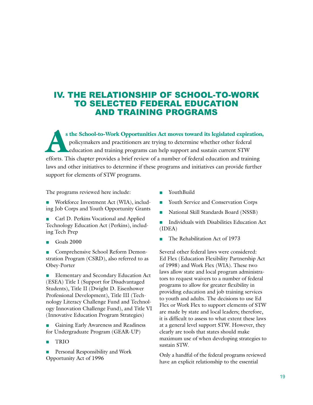### IV. THE RELATIONSHIP OF SCHOOL-TO-WORK TO SELECTED FEDERAL EDUCATION AND TRAINING PROGRAMS

s the School-to-Work Opportunities Act moves toward its legislated expiration, policymakers and practitioners are trying to determine whether other federal education and training programs can help support and sustain curre policymakers and practitioners are trying to determine whether other federal education and training programs can help support and sustain current STW efforts. This chapter provides a brief review of a number of federal education and training laws and other initiatives to determine if these programs and initiatives can provide further support for elements of STW programs.

The programs reviewed here include:

■ Workforce Investment Act (WIA), including Job Corps and Youth Opportunity Grants

Carl D. Perkins Vocational and Applied Technology Education Act (Perkins), including Tech Prep

- Goals 2000
- Comprehensive School Reform Demonstration Program (CSRD), also referred to as Obey-Porter

Elementary and Secondary Education Act (ESEA) Title I (Support for Disadvantaged Students), Title II (Dwight D. Eisenhower Professional Development), Title III (Technology Literacy Challenge Fund and Technology Innovation Challenge Fund), and Title VI (Innovative Education Program Strategies)

■ Gaining Early Awareness and Readiness for Undergraduate Program (GEAR-UP)

- **TRIO**
- Personal Responsibility and Work Opportunity Act of 1996

■ YouthBuild

- Youth Service and Conservation Corps
- National Skill Standards Board (NSSB)
- Individuals with Disabilities Education Act (IDEA)
- The Rehabilitation Act of 1973

Several other federal laws were considered: Ed Flex (Education Flexibility Partnership Act of 1998) and Work Flex (WIA). These two laws allow state and local program administrators to request waivers to a number of federal programs to allow for greater flexibility in providing education and job training services to youth and adults. The decisions to use Ed Flex or Work Flex to support elements of STW are made by state and local leaders; therefore, it is difficult to assess to what extent these laws at a general level support STW. However, they clearly are tools that states should make maximum use of when developing strategies to sustain STW.

Only a handful of the federal programs reviewed have an explicit relationship to the essential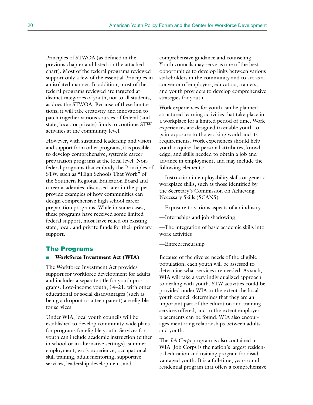Principles of STWOA (as defined in the previous chapter and listed on the attached chart). Most of the federal programs reviewed support only a few of the essential Principles in an isolated manner. In addition, most of the federal programs reviewed are targeted at distinct categories of youth, not to all students, as does the STWOA. Because of these limitations, it will take creativity and innovation to patch together various sources of federal (and state, local, or private) funds to continue STW activities at the community level.

However, with sustained leadership and vision and support from other programs, it is possible to develop comprehensive, systemic career preparation programs at the local level. Nonfederal programs that embody the Principles of STW, such as "High Schools That Work" of the Southern Regional Education Board and career academies, discussed later in the paper, provide examples of how communities can design comprehensive high school career preparation programs. While in some cases, these programs have received some limited federal support, most have relied on existing state, local, and private funds for their primary support.

### The Programs

#### ■ **Workforce Investment Act (WIA)**

The Workforce Investment Act provides support for workforce development for adults and includes a separate title for youth programs. Low-income youth, 14–21, with other educational or social disadvantages (such as being a dropout or a teen parent) are eligible for services.

Under WIA, local youth councils will be established to develop community-wide plans for programs for eligible youth. Services for youth can include academic instruction (either in school or in alternative settings), summer employment, work experience, occupational skill training, adult mentoring, supportive services, leadership development, and

comprehensive guidance and counseling. Youth councils may serve as one of the best opportunities to develop links between various stakeholders in the community and to act as a convenor of employers, educators, trainers, and youth providers to develop comprehensive strategies for youth.

Work experiences for youth can be planned, structured learning activities that take place in a workplace for a limited period of time. Work experiences are designed to enable youth to gain exposure to the working world and its requirements. Work experiences should help youth acquire the personal attributes, knowledge, and skills needed to obtain a job and advance in employment, and may include the following elements:

—Instruction in employability skills or generic workplace skills, such as those identified by the Secretary's Commission on Achieving Necessary Skills (SCANS)

—Exposure to various aspects of an industry

—Internships and job shadowing

—The integration of basic academic skills into work activities

—Entrepreneurship

Because of the diverse needs of the eligible population, each youth will be assessed to determine what services are needed. As such, WIA will take a very individualized approach to dealing with youth. STW activities could be provided under WIA to the extent the local youth council determines that they are an important part of the education and training services offered, and to the extent employer placements can be found. WIA also encourages mentoring relationships between adults and youth.

The *Job Corps* program is also contained in WIA. Job Corps is the nation's largest residential education and training program for disadvantaged youth. It is a full-time, year-round residential program that offers a comprehensive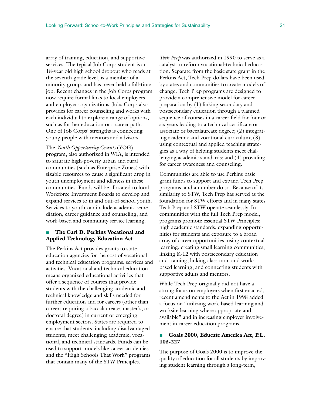array of training, education, and supportive services. The typical Job Corps student is an 18-year old high school dropout who reads at the seventh grade level, is a member of a minority group, and has never held a full-time job. Recent changes in the Job Corps program now require formal links to local employers and employer organizations. Jobs Corps also provides for career counseling and works with each individual to explore a range of options, such as further education or a career path. One of Job Corps' strengths is connecting young people with mentors and advisors.

The *Youth Opportunity Grants* (YOG) program, also authorized in WIA, is intended to saturate high-poverty urban and rural communities (such as Enterprise Zones) with sizable resources to cause a significant drop in youth unemployment and idleness in these communities. Funds will be allocated to local Workforce Investment Boards to develop and expand services to in and out-of-school youth. Services to youth can include academic remediation, career guidance and counseling, and work-based and community service learning.

### ■ **The Carl D. Perkins Vocational and Applied Technology Education Act**

The Perkins Act provides grants to state education agencies for the cost of vocational and technical education programs, services and activities. Vocational and technical education means organized educational activities that offer a sequence of courses that provide students with the challenging academic and technical knowledge and skills needed for further education and for careers (other than careers requiring a baccalaureate, master's, or doctoral degree) in current or emerging employment sectors. States are required to ensure that students, including disadvantaged students, meet challenging academic, vocational, and technical standards. Funds can be used to support models like career academies and the "High Schools That Work" programs that contain many of the STW Principles.

*Tech Prep* was authorized in 1990 to serve as a catalyst to reform vocational-technical education. Separate from the basic state grant in the Perkins Act, Tech Prep dollars have been used by states and communities to create models of change. Tech Prep programs are designed to provide a comprehensive model for career preparation by (1) linking secondary and postsecondary education through a planned sequence of courses in a career field for four or six years leading to a technical certificate or associate or baccalaureate degree; (2) integrating academic and vocational curriculum; (3) using contextual and applied teaching strategies as a way of helping students meet challenging academic standards; and (4) providing for career awareness and counseling.

Communities are able to use Perkins basic grant funds to support and expand Tech Prep programs, and a number do so. Because of its similarity to STW, Tech Prep has served as the foundation for STW efforts and in many states Tech Prep and STW operate seamlessly. In communities with the full Tech Prep model, programs promote essential STW Principles: high academic standards, expanding opportunities for students and exposure to a broad array of career opportunities, using contextual learning, creating small learning communities, linking K-12 with postsecondary education and training, linking classroom and workbased learning, and connecting students with supportive adults and mentors.

While Tech Prep originally did not have a strong focus on employers when first enacted, recent amendments to the Act in 1998 added a focus on "utilizing work-based learning and worksite learning where appropriate and available" and in increasing employer involvement in career education programs.

### ■ **Goals 2000, Educate America Act, P.L. 103-227**

The purpose of Goals 2000 is to improve the quality of education for all students by improving student learning through a long-term,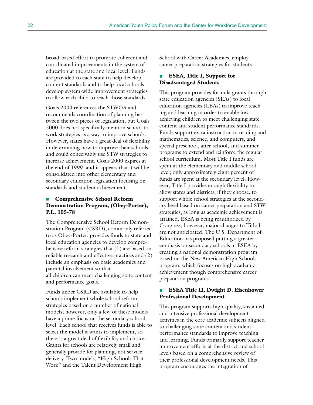broad-based effort to promote coherent and coordinated improvements in the system of education at the state and local level. Funds are provided to each state to help develop content standards and to help local schools develop system-wide improvement strategies to allow each child to reach those standards.

Goals 2000 references the STWOA and recommends coordination of planning between the two pieces of legislation, but Goals 2000 does not specifically mention school-towork strategies as a way to improve schools. However, states have a great deal of flexibility in determining how to improve their schools and could conceivably use STW strategies to increase achievement. Goals 2000 expires at the end of 1999, and it appears that it will be consolidated into other elementary and secondary education legislation focusing on standards and student achievement.

### **Comprehensive School Reform Demonstration Program, (Obey-Porter), P.L. 105-78**

The Comprehensive School Reform Demonstration Program (CSRD), commonly referred to as Obey-Porter, provides funds to state and local education agencies to develop comprehensive reform strategies that (1) are based on reliable research and effective practices and (2) include an emphasis on basic academics and parental involvement so that all children can meet challenging state content and performance goals.

Funds under CSRD are available to help schools implement whole school reform strategies based on a number of national models; however, only a few of these models have a prime focus on the secondary school level. Each school that receives funds is able to select the model it wants to implement, so there is a great deal of flexibility and choice. Grants for schools are relatively small and generally provide for planning, not service delivery. Two models, "High Schools That Work" and the Talent Development High

School with Career Academies, employ career preparation strategies for students.

### **ESEA, Title I, Support for Disadvantaged Students**

This program provides formula grants through state education agencies (SEAs) to local education agencies (LEAs) to improve teaching and learning in order to enable lowachieving children to meet challenging state content and student performance standards. Funds support extra instruction in reading and mathematics, science, and computers, and special preschool, after-school, and summer programs to extend and reinforce the regular school curriculum. Most Title I funds are spent at the elementary and middle school level; only approximately eight percent of funds are spent at the secondary level. However, Title I provides enough flexibility to allow states and districts, if they choose, to support whole school strategies at the secondary level based on career preparation and STW strategies, as long as academic achievement is attained. ESEA is being reauthorized by Congress, however, major changes to Title I are not anticipated. The U.S. Department of Education has proposed putting a greater emphasis on secondary schools in ESEA by creating a national demonstration program based on the New American High Schools program, which focuses on high academic achievement though comprehensive career preparation programs.

### ■ **ESEA Title II, Dwight D. Eisenhower Professional Development**

This program supports high-quality, sustained and intensive professional development activities in the core academic subjects aligned to challenging state content and student performance standards to improve teaching and learning. Funds primarily support teacher improvement efforts at the district and school levels based on a comprehensive review of their professional development needs. This program encourages the integration of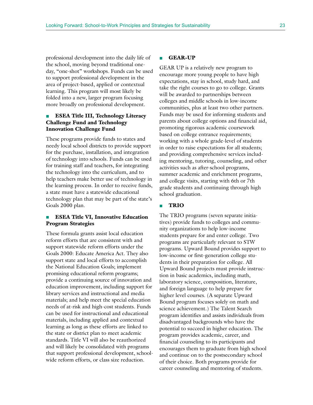professional development into the daily life of the school, moving beyond traditional oneday, "one-shot" workshops. Funds can be used to support professional development in the area of project-based, applied or contextual learning. This program will most likely be folded into a new, larger program focusing more broadly on professional development.

### **ESEA Title III, Technology Literacy Challenge Fund and Technology Innovation Challenge Fund**

These programs provide funds to states and needy local school districts to provide support for the purchase, installation, and integration of technology into schools. Funds can be used for training staff and teachers, for integrating the technology into the curriculum, and to help teachers make better use of technology in the learning process. In order to receive funds, a state must have a statewide educational technology plan that may be part of the state's Goals 2000 plan.

### ■ **ESEA Title VI, Innovative Education Program Strategies**

These formula grants assist local education reform efforts that are consistent with and support statewide reform efforts under the Goals 2000: Educate America Act. They also support state and local efforts to accomplish the National Education Goals; implement promising educational reform programs; provide a continuing source of innovation and education improvement, including support for library services and instructional and media materials; and help meet the special education needs of at-risk and high-cost students. Funds can be used for instructional and educational materials, including applied and contextual learning as long as these efforts are linked to the state or district plan to meet academic standards. Title VI will also be reauthorized and will likely be consolidated with programs that support professional development, schoolwide reform efforts, or class size reduction.

#### ■ **GEAR-UP**

GEAR UP is a relatively new program to encourage more young people to have high expectations, stay in school, study hard, and take the right courses to go to college. Grants will be awarded to partnerships between colleges and middle schools in low-income communities, plus at least two other partners. Funds may be used for informing students and parents about college options and financial aid, promoting rigorous academic coursework based on college entrance requirements; working with a whole grade-level of students in order to raise expectations for all students; and providing comprehensive services including mentoring, tutoring, counseling, and other activities such as after-school programs, summer academic and enrichment programs, and college visits, starting with 6th or 7th grade students and continuing through high school graduation.

### ■ **TRIO**

The TRIO programs (seven separate initiatives) provide funds to colleges and community organizations to help low-income students prepare for and enter college. Two programs are particularly relevant to STW programs. Upward Bound provides support to low-income or first-generation college students in their preparation for college. All Upward Bound projects must provide instruction in basic academics, including math, laboratory science, composition, literature, and foreign language to help prepare for higher level courses. (A separate Upward Bound program focuses solely on math and science achievement.) The Talent Search program identifies and assists individuals from disadvantaged backgrounds who have the potential to succeed in higher education. The program provides academic, career, and financial counseling to its participants and encourages them to graduate from high school and continue on to the postsecondary school of their choice. Both programs provide for career counseling and mentoring of students.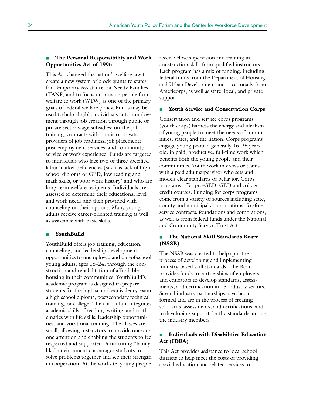### ■ **The Personal Responsibility and Work Opportunities Act of 1996**

This Act changed the nation's welfare law to create a new system of block grants to states for Temporary Assistance for Needy Families (TANF) and to focus on moving people from welfare to work (WTW) as one of the primary goals of federal welfare policy. Funds may be used to help eligible individuals enter employment through job creation through public or private sector wage subsidies; on-the-job training; contracts with public or private providers of job readiness; job placement; post-employment services; and community service or work experience. Funds are targeted to individuals who face two of three specified labor market deficiencies (such as lack of high school diploma or GED, low reading and math skills, or poor work history) and who are long-term welfare recipients. Individuals are assessed to determine their educational level and work needs and then provided with counseling on their options. Many young adults receive career-oriented training as well as assistance with basic skills.

#### ■ **YouthBuild**

YouthBuild offers job training, education, counseling, and leadership development opportunities to unemployed and out-of-school young adults, ages 16–24, through the construction and rehabilitation of affordable housing in their communities. YouthBuild's academic program is designed to prepare students for the high school equivalency exam, a high school diploma, postsecondary technical training, or college. The curriculum integrates academic skills of reading, writing, and mathematics with life skills, leadership opportunities, and vocational training. The classes are small, allowing instructors to provide one-onone attention and enabling the students to feel respected and supported. A nurturing "familylike" environment encourages students to solve problems together and see their strength in cooperation. At the worksite, young people

receive close supervision and training in construction skills from qualified instructors. Each program has a mix of funding, including federal funds from the Department of Housing and Urban Development and occasionally from Americorps, as well as state, local, and private support.

#### **Youth Service and Conservation Corps**

Conservation and service corps programs (youth corps) harness the energy and idealism of young people to meet the needs of communities, states, and the nation. Corps programs engage young people, generally 16–25 years old, in paid, productive, full-time work which benefits both the young people and their communities. Youth work in crews or teams with a paid adult supervisor who sets and models clear standards of behavior. Corps programs offer pre-GED, GED and college credit courses. Funding for corps programs come from a variety of sources including state, county and municipal appropriations, fee-forservice contracts, foundations and corporations, as well as from federal funds under the National and Community Service Trust Act.

### ■ **The National Skill Standards Board (NSSB)**

The NSSB was created to help spur the process of developing and implementing industry-based skill standards. The Board provides funds to partnerships of employers and educators to develop standards, assessments, and certification in 15 industry sectors. Several industry partnerships have been formed and are in the process of creating standards, assessments, and certifications, and in developing support for the standards among the industry members.

### **Individuals with Disabilities Education Act (IDEA)**

This Act provides assistance to local school districts to help meet the costs of providing special education and related services to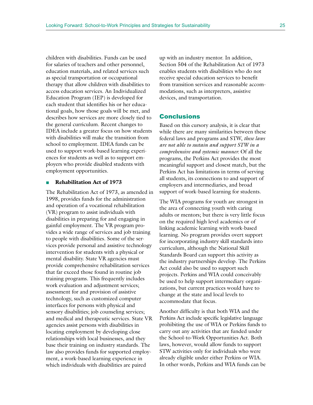children with disabilities. Funds can be used for salaries of teachers and other personnel, education materials, and related services such as special transportation or occupational therapy that allow children with disabilities to access education services. An Individualized Education Program (IEP) is developed for each student that identifies his or her educational goals, how those goals will be met, and describes how services are more closely tied to the general curriculum. Recent changes to IDEA include a greater focus on how students with disabilities will make the transition from school to employment. IDEA funds can be used to support work-based learning experiences for students as well as to support employers who provide disabled students with employment opportunities.

#### ■ **Rehabilitation Act of 1973**

The Rehabilitation Act of 1973, as amended in 1998, provides funds for the administration and operation of a vocational rehabilitation (VR) program to assist individuals with disabilities in preparing for and engaging in gainful employment. The VR program provides a wide range of services and job training to people with disabilities. Some of the services provide personal and assistive technology intervention for students with a physical or mental disability. State VR agencies must provide comprehensive rehabilitation services that far exceed those found in routine job training programs. This frequently includes work evaluation and adjustment services; assessment for and provision of assistive technology, such as customized computer interfaces for persons with physical and sensory disabilities; job counseling services; and medical and therapeutic services. State VR agencies assist persons with disabilities in locating employment by developing close relationships with local businesses, and they base their training on industry standards. The law also provides funds for supported employment, a work-based learning experience in which individuals with disabilities are paired

up with an industry mentor. In addition, Section 504 of the Rehabilitation Act of 1973 enables students with disabilities who do not receive special education services to benefit from transition services and reasonable accommodations, such as interpreters, assistive devices, and transportation.

### **Conclusions**

Based on this cursory analysis, it is clear that while there are many similarities between these federal laws and programs and STW, *these laws are not able to sustain and support STW in a comprehensive and systemic manner.* Of all the programs, the Perkins Act provides the most meaningful support and closest match, but the Perkins Act has limitations in terms of serving all students, its connections to and support of employers and intermediaries, and broad support of work-based learning for students.

The WIA programs for youth are strongest in the area of connecting youth with caring adults or mentors; but there is very little focus on the required high level academics or of linking academic learning with work-based learning. No program provides overt support for incorporating industry skill standards into curriculum, although the National Skill Standards Board can support this activity as the industry partnerships develop. The Perkins Act could also be used to support such projects. Perkins and WIA could conceivably be used to help support intermediary organizations, but current practices would have to change at the state and local levels to accommodate that focus.

Another difficulty is that both WIA and the Perkins Act include specific legislative language prohibiting the use of WIA or Perkins funds to carry out any activities that are funded under the School-to-Work Opportunities Act. Both laws, however, would allow funds to support STW activities only for individuals who were already eligible under either Perkins or WIA. In other words, Perkins and WIA funds can be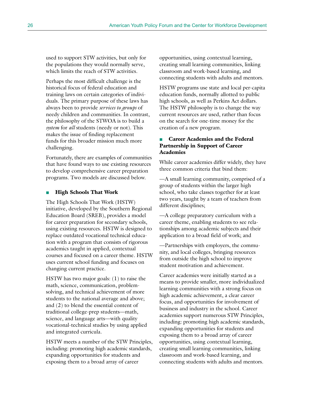used to support STW activities, but only for the populations they would normally serve, which limits the reach of STW activities.

Perhaps the most difficult challenge is the historical focus of federal education and training laws on certain categories of individuals. The primary purpose of these laws has always been to provide *services to groups* of needy children and communities. In contrast, the philosophy of the STWOA is to build a *system* for *all* students (needy or not). This makes the issue of finding replacement funds for this broader mission much more challenging.

Fortunately, there are examples of communities that have found ways to use existing resources to develop comprehensive career preparation programs. Two models are discussed below.

### ■ **High Schools That Work**

The High Schools That Work (HSTW) initiative, developed by the Southern Regional Education Board (SREB), provides a model for career preparation for secondary schools, using existing resources. HSTW is designed to replace outdated vocational technical education with a program that consists of rigorous academics taught in applied, contextual courses and focused on a career theme. HSTW uses current school funding and focuses on changing current practice.

HSTW has two major goals: (1) to raise the math, science, communication, problemsolving, and technical achievement of more students to the national average and above; and (2) to blend the essential content of traditional college-prep students—math, science, and language arts—with quality vocational-technical studies by using applied and integrated curricula.

HSTW meets a number of the STW Principles, including: promoting high academic standards, expanding opportunities for students and exposing them to a broad array of career

opportunities, using contextual learning, creating small learning communities, linking classroom and work-based learning, and connecting students with adults and mentors.

HSTW programs use state and local per-capita education funds, normally allotted to public high schools, as well as Perkins Act dollars. The HSTW philosophy is to change the way current resources are used, rather than focus on the search for one-time money for the creation of a new program.

### **Career Academies and the Federal Partnership in Support of Career Academies**

While career academies differ widely, they have three common criteria that bind them:

—A small learning community, comprised of a group of students within the larger high school, who take classes together for at least two years, taught by a team of teachers from different disciplines;

—A college preparatory curriculum with a career theme, enabling students to see relationships among academic subjects and their application to a broad field of work; and

—Partnerships with employers, the community, and local colleges, bringing resources from outside the high school to improve student motivation and achievement.

Career academies were initially started as a means to provide smaller, more individualized learning communities with a strong focus on high academic achievement, a clear career focus, and opportunities for involvement of business and industry in the school. Career academies support numerous STW Principles, including: promoting high academic standards, expanding opportunities for students and exposing them to a broad array of career opportunities, using contextual learning, creating small learning communities, linking classroom and work-based learning, and connecting students with adults and mentors.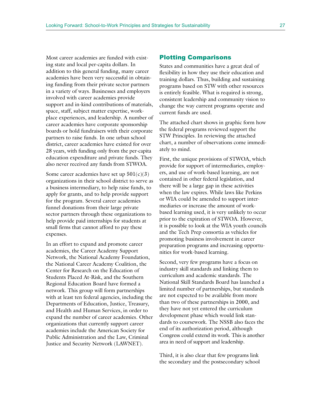Most career academies are funded with existing state and local per-capita dollars. In addition to this general funding, many career academies have been very successful in obtaining funding from their private sector partners in a variety of ways. Businesses and employers involved with career academies provide support and in-kind contributions of materials, space, staff, subject matter expertise, workplace experiences, and leadership. A number of career academies have corporate sponsorship boards or hold fundraisers with their corporate partners to raise funds. In one urban school district, career academies have existed for over 28 years, with funding only from the per-capita education expenditure and private funds. They also never received any funds from STWOA.

Some career academies have set up  $501(c)(3)$ organizations in their school district to serve as a business intermediary, to help raise funds, to apply for grants, and to help provide support for the program. Several career academies funnel donations from their large private sector partners through these organizations to help provide paid internships for students at small firms that cannot afford to pay these expenses.

In an effort to expand and promote career academies, the Career Academy Support Network, the National Academy Foundation, the National Career Academy Coalition, the Center for Research on the Education of Students Placed At-Risk, and the Southern Regional Education Board have formed a network. This group will form partnerships with at least ten federal agencies, including the Departments of Education, Justice, Treasury, and Health and Human Services, in order to expand the number of career academies. Other organizations that currently support career academies include the American Society for Public Administration and the Law, Criminal Justice and Security Network (LAWNET).

### Plotting Comparisons

States and communities have a great deal of flexibility in how they use their education and training dollars. Thus, building and sustaining programs based on STW with other resources is entirely feasible. What is required is strong, consistent leadership and community vision to change the way current programs operate and current funds are used.

The attached chart shows in graphic form how the federal programs reviewed support the STW Principles. In reviewing the attached chart, a number of observations come immediately to mind.

First, the unique provisions of STWOA, which provide for support of intermediaries, employers, and use of work-based learning, are not contained in other federal legislation, and there will be a large gap in these activities when the law expires. While laws like Perkins or WIA could be amended to support intermediaries or increase the amount of workbased learning used, it is very unlikely to occur prior to the expiration of STWOA. However, it is possible to look at the WIA youth councils and the Tech Prep consortia as vehicles for promoting business involvement in career preparation programs and increasing opportunities for work-based learning.

Second, very few programs have a focus on industry skill standards and linking them to curriculum and academic standards. The National Skill Standards Board has launched a limited number of partnerships, but standards are not expected to be available from more than two of these partnerships in 2000, and they have not yet entered the curriculum development phase which would link standards to coursework. The NSSB also faces the end of its authorization period, although Congress could extend its work. This is another area in need of support and leadership.

Third, it is also clear that few programs link the secondary and the postsecondary school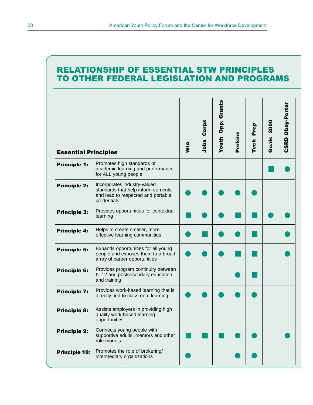### RELATIONSHIP OF ESSENTIAL STW PRINCIPLES TO OTHER FEDERAL LEGISLATION AND PROGRAMS

| <b>Essential Principles</b> |                                                                                                                           | $\frac{4}{5}$ | Corps<br>Jobs | Grants<br>Opp.<br>Youth | Perkins | Prep<br><b>Tech</b> | <b>2000</b><br>Goals | Obey-Porter<br><b>CSRD</b> |
|-----------------------------|---------------------------------------------------------------------------------------------------------------------------|---------------|---------------|-------------------------|---------|---------------------|----------------------|----------------------------|
| <b>Principle 1:</b>         | Promotes high standards of<br>academic learning and performance<br>for ALL young people                                   |               |               |                         |         |                     |                      |                            |
| <b>Principle 2:</b>         | Incorporates industry-valued<br>standards that help inform curricula<br>and lead to respected and portable<br>credentials |               |               |                         |         |                     |                      |                            |
| <b>Principle 3:</b>         | Provides opportunities for contextual<br>learning                                                                         |               |               |                         |         |                     |                      |                            |
| <b>Principle 4:</b>         | Helps to create smaller, more<br>effective learning communities                                                           |               |               |                         |         |                     |                      |                            |
| <b>Principle 5:</b>         | Expands opportunities for all young<br>people and exposes them to a broad<br>array of career opportunities                |               |               |                         |         |                     |                      |                            |
| <b>Principle 6:</b>         | Provides program continuity between<br>K-12 and postsecondary education<br>and training                                   |               |               |                         |         |                     |                      |                            |
| <b>Principle 7:</b>         | Provides work-based learning that is<br>directly tied to classroom learning                                               |               |               |                         |         |                     |                      |                            |
| <b>Principle 8:</b>         | Assists employers in providing high<br>quality work-based learning<br>opportunities                                       |               |               |                         |         |                     |                      |                            |
| <b>Principle 9:</b>         | Connects young people with<br>supportive adults, mentors and other<br>role models                                         |               |               |                         |         |                     |                      |                            |
| <b>Principle 10:</b>        | Promotes the role of brokering/<br>intermediary organizations                                                             |               |               |                         |         |                     |                      |                            |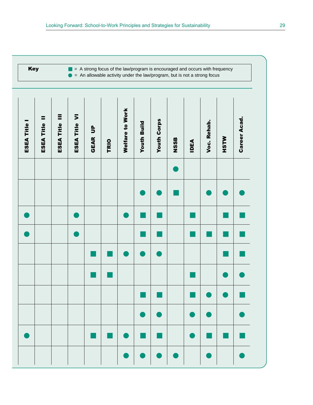**Key**  $\blacksquare$  = A strong focus of the law/program is encouraged and occurs with frequency  $\bullet$  = An allowable activity under the law/program, but is not a strong focus

| <b>ESEA Title I</b> | Ξ<br><b>ESEA Title</b> | E<br>ESEA Title | ESEA Title VI | <b>GEAR UP</b>                                                                                                        | TRIO                                                                                                                  | <b>Welfare to Work</b> | <b>Youth Build</b> | <b>Youth Corps</b> | <b>NSSB</b> | <b>IDEA</b> | Voc. Rehab. | <b>MLSH</b> | <b>Career Acad.</b> |
|---------------------|------------------------|-----------------|---------------|-----------------------------------------------------------------------------------------------------------------------|-----------------------------------------------------------------------------------------------------------------------|------------------------|--------------------|--------------------|-------------|-------------|-------------|-------------|---------------------|
|                     |                        |                 |               |                                                                                                                       |                                                                                                                       |                        |                    |                    |             |             |             |             |                     |
|                     |                        |                 |               |                                                                                                                       |                                                                                                                       |                        |                    |                    |             |             |             |             |                     |
|                     |                        |                 |               |                                                                                                                       |                                                                                                                       |                        |                    |                    |             |             |             |             |                     |
|                     |                        |                 |               |                                                                                                                       |                                                                                                                       |                        |                    |                    |             |             |             |             |                     |
|                     |                        |                 |               |                                                                                                                       |                                                                                                                       |                        |                    |                    |             |             |             | ×           |                     |
|                     |                        |                 |               | <b>Contract Contract Contract Contract Contract Contract Contract Contract Contract Contract Contract Contract Co</b> | <b>Contract Contract Contract Contract Contract Contract Contract Contract Contract Contract Contract Contract Co</b> |                        |                    |                    |             |             |             |             |                     |
|                     |                        |                 |               |                                                                                                                       |                                                                                                                       |                        |                    |                    |             |             |             |             |                     |
|                     |                        |                 |               |                                                                                                                       |                                                                                                                       |                        |                    |                    |             |             |             |             |                     |
|                     |                        |                 |               | <b>Service Service</b>                                                                                                | a,                                                                                                                    |                        | $\mathbb{R}^2$     |                    |             |             |             |             |                     |
|                     |                        |                 |               |                                                                                                                       |                                                                                                                       |                        |                    |                    |             |             |             |             |                     |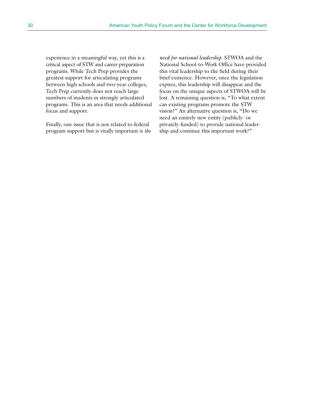experience in a meaningful way, yet this is a critical aspect of STW and career preparation programs. While Tech Prep provides the greatest support for articulating programs between high schools and two-year colleges, Tech Prep currently does not reach large numbers of students in strongly articulated programs. This is an area that needs additional focus and support.

Finally, one issue that is not related to federal program support but is vitally important is *the*

*need for national leadership*. STWOA and the National School-to-Work Office have provided this vital leadership to the field during their brief existence. However, once the legislation expires, this leadership will disappear and the focus on the unique aspects of STWOA will be lost. A remaining question is, "To what extent can existing programs promote the STW vision?" An alternative question is, "Do we need an entirely new entity (publicly- or privately-funded) to provide national leadership and continue this important work?"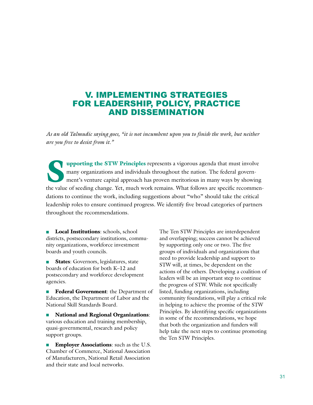### V. IMPLEMENTING STRATEGIES FOR LEADERSHIP, POLICY, PRACTICE AND DISSEMINATION

*As an old Talmudic saying goes, "it is not incumbent upon you to finish the work, but neither are you free to desist from it."*

**Supporting the STW Principles** represents a vigorous agenda that must involve many organizations and individuals throughout the nation. The federal government's venture capital approach has proven meritorious in many ways many organizations and individuals throughout the nation. The federal government's venture capital approach has proven meritorious in many ways by showing the value of seeding change. Yet, much work remains. What follows are specific recommendations to continue the work, including suggestions about "who" should take the critical leadership roles to ensure continued progress. We identify five broad categories of partners throughout the recommendations.

■ **Local Institutions**: schools, school districts, postsecondary institutions, community organizations, workforce investment boards and youth councils.

**States**: Governors, legislatures, state boards of education for both K–12 and postsecondary and workforce development agencies.

■ **Federal Government**: the Department of Education, the Department of Labor and the National Skill Standards Board.

■ **National and Regional Organizations**: various education and training membership, quasi-governmental, research and policy support groups.

**Employer Associations**: such as the U.S. Chamber of Commerce, National Association of Manufacturers, National Retail Association and their state and local networks.

The Ten STW Principles are interdependent and overlapping; success cannot be achieved by supporting only one or two. The five groups of individuals and organizations that need to provide leadership and support to STW will, at times, be dependent on the actions of the others. Developing a coalition of leaders will be an important step to continue the progress of STW. While not specifically listed, funding organizations, including community foundations, will play a critical role in helping to achieve the promise of the STW Principles. By identifying specific organizations in some of the recommendations, we hope that both the organization and funders will help take the next steps to continue promoting the Ten STW Principles.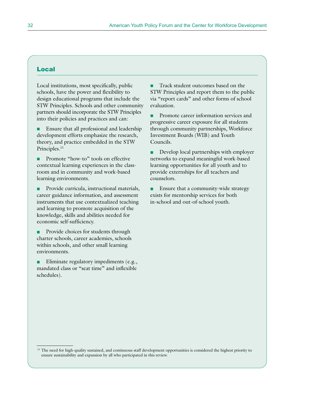### Local

Local institutions, most specifically, public schools, have the power and flexibility to design educational programs that include the STW Principles. Schools and other community partners should incorporate the STW Principles into their policies and practices and can:

Ensure that all professional and leadership development efforts emphasize the research, theory, and practice embedded in the STW Principles.<sup>11</sup>

Promote "how-to" tools on effective contextual learning experiences in the classroom and in community and work-based learning environments.

Provide curricula, instructional materials, career guidance information, and assessment instruments that use contextualized teaching and learning to promote acquisition of the knowledge, skills and abilities needed for economic self-sufficiency.

Provide choices for students through charter schools, career academies, schools within schools, and other small learning environments.

Eliminate regulatory impediments (e.g., mandated class or "seat time" and inflexible schedules).

■ Track student outcomes based on the STW Principles and report them to the public via "report cards" and other forms of school evaluation.

■ Promote career information services and progressive career exposure for all students through community partnerships, Workforce Investment Boards (WIB) and Youth Councils.

■ Develop local partnerships with employer networks to expand meaningful work-based learning opportunities for all youth and to provide externships for all teachers and counselors.

■ Ensure that a community-wide strategy exists for mentorship services for both in-school and out-of-school youth.

<sup>&</sup>lt;sup>11</sup> The need for high-quality sustained, and continuous staff development opportunities is considered the highest priority to ensure sustainability and expansion by all who participated in this review.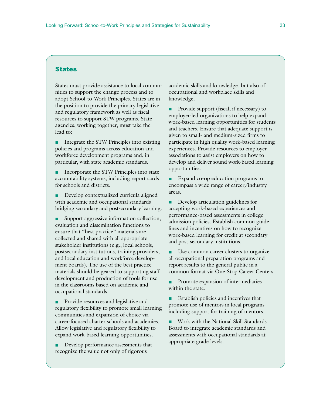### **States**

States must provide assistance to local communities to support the change process and to adopt School-to-Work Principles. States are in the position to provide the primary legislative and regulatory framework as well as fiscal resources to support STW programs. State agencies, working together, must take the lead to:

■ Integrate the STW Principles into existing policies and programs across education and workforce development programs and, in particular, with state academic standards.

■ Incorporate the STW Principles into state accountability systems, including report cards for schools and districts.

■ Develop contextualized curricula aligned with academic and occupational standards bridging secondary and postsecondary learning.

Support aggressive information collection, evaluation and dissemination functions to ensure that "best practice" materials are collected and shared with all appropriate stakeholder institutions (e.g., local schools, postsecondary institutions, training providers, and local education and workforce development boards). The use of the best practice materials should be geared to supporting staff development and production of tools for use in the classrooms based on academic and occupational standards.

■ Provide resources and legislative and regulatory flexibility to promote small learning communities and expansion of choice via career-focused charter schools and academies. Allow legislative and regulatory flexibility to expand work-based learning opportunities.

Develop performance assessments that recognize the value not only of rigorous

academic skills and knowledge, but also of occupational and workplace skills and knowledge.

Provide support (fiscal, if necessary) to employer-led organizations to help expand work-based learning opportunities for students and teachers. Ensure that adequate support is given to small- and medium-sized firms to participate in high quality work-based learning experiences. Provide resources to employer associations to assist employers on how to develop and deliver sound work-based learning opportunities.

■ Expand co-op education programs to encompass a wide range of career/industry areas.

■ Develop articulation guidelines for accepting work-based experiences and performance-based assessments in college admission policies. Establish common guidelines and incentives on how to recognize work-based learning for credit at secondary and post-secondary institutions.

■ Use common career clusters to organize all occupational preparation programs and report results to the general public in a common format via One-Stop Career Centers.

Promote expansion of intermediaries within the state.

■ Establish policies and incentives that promote use of mentors in local programs including support for training of mentors.

Work with the National Skill Standards Board to integrate academic standards and assessments with occupational standards at appropriate grade levels.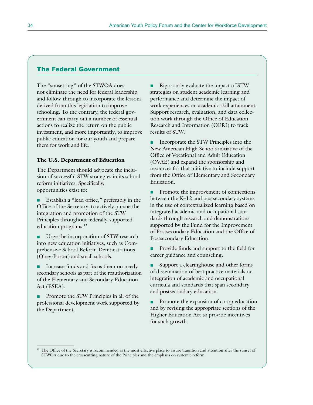### The Federal Government

The "sunsetting" of the STWOA does not eliminate the need for federal leadership and follow-through to incorporate the lessons derived from this legislation to improve schooling. To the contrary, the federal government can carry out a number of essential actions to realize the return on the public investment, and more importantly, to improve public education for our youth and prepare them for work and life.

#### **The U.S. Department of Education**

The Department should advocate the inclusion of successful STW strategies in its school reform initiatives. Specifically, opportunities exist to:

Establish a "lead office," preferably in the Office of the Secretary, to actively pursue the integration and promotion of the STW Principles throughout federally-supported education programs.12

Urge the incorporation of STW research into new education initiatives, such as Comprehensive School Reform Demonstrations (Obey-Porter) and small schools.

Increase funds and focus them on needy secondary schools as part of the reauthorization of the Elementary and Secondary Education Act (ESEA).

Promote the STW Principles in all of the professional development work supported by the Department.

■ Rigorously evaluate the impact of STW strategies on student academic learning and performance and determine the impact of work experiences on academic skill attainment. Support research, evaluation, and data collection work through the Office of Education Research and Information (OERI) to track results of STW.

Incorporate the STW Principles into the New American High Schools initiative of the Office of Vocational and Adult Education (OVAE) and expand the sponsorship and resources for that initiative to include support from the Office of Elementary and Secondary Education.

■ Promote the improvement of connections between the K–12 and postsecondary systems in the use of contextualized learning based on integrated academic and occupational standards through research and demonstrations supported by the Fund for the Improvement of Postsecondary Education and the Office of Postsecondary Education.

Provide funds and support to the field for career guidance and counseling.

Support a clearinghouse and other forms of dissemination of best practice materials on integration of academic and occupational curricula and standards that span secondary and postsecondary education.

■ Promote the expansion of co-op education and by revising the appropriate sections of the Higher Education Act to provide incentives for such growth.

<sup>&</sup>lt;sup>12</sup> The Office of the Secretary is recommended as the most effective place to assure transition and attention after the sunset of STWOA due to the crosscutting nature of the Principles and the emphasis on systemic reform.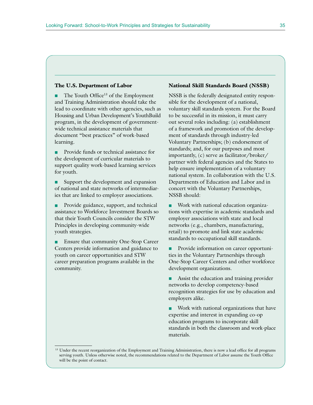#### **The U.S. Department of Labor**

The Youth Office<sup>13</sup> of the Employment and Training Administration should take the lead to coordinate with other agencies, such as Housing and Urban Development's YouthBuild program, in the development of governmentwide technical assistance materials that document "best practices" of work-based learning.

Provide funds or technical assistance for the development of curricular materials to support quality work-based learning services for youth.

Support the development and expansion of national and state networks of intermediaries that are linked to employer associations.

Provide guidance, support, and technical assistance to Workforce Investment Boards so that their Youth Councils consider the STW Principles in developing community-wide youth strategies.

Ensure that community One-Stop Career Centers provide information and guidance to youth on career opportunities and STW career preparation programs available in the community.

### **National Skill Standards Board (NSSB)**

NSSB is the federally designated entity responsible for the development of a national, voluntary skill standards system. For the Board to be successful in its mission, it must carry out several roles including: (a) establishment of a framework and promotion of the development of standards through industry-led Voluntary Partnerships; (b) endorsement of standards; and, for our purposes and most importantly, (c) serve as facilitator/broker/ partner with federal agencies and the States to help ensure implementation of a voluntary national system. In collaboration with the U.S. Departments of Education and Labor and in concert with the Voluntary Partnerships, NSSB should:

Work with national education organizations with expertise in academic standards and employer associations with state and local networks (e.g., chambers, manufacturing, retail) to promote and link state academic standards to occupational skill standards.

Provide information on career opportunities in the Voluntary Partnerships through One-Stop Career Centers and other workforce development organizations.

Assist the education and training provider networks to develop competency-based recognition strategies for use by education and employers alike.

Work with national organizations that have expertise and interest in expanding co-op education programs to incorporate skill standards in both the classroom and work-place materials.

<sup>&</sup>lt;sup>13</sup> Under the recent reorganization of the Employment and Training Administration, there is now a lead office for all programs serving youth. Unless otherwise noted, the recommendations related to the Department of Labor assume the Youth Office will be the point of contact.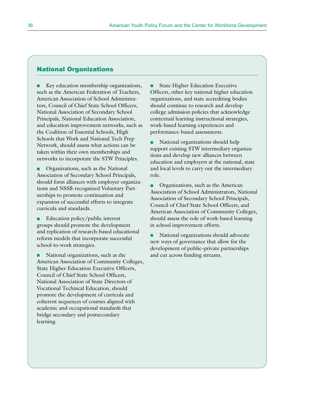### National Organizations

Key education membership organizations, such as the American Federation of Teachers, American Association of School Administrators, Council of Chief State School Officers, National Association of Secondary School Principals, National Education Association, and education improvement networks, such as the Coalition of Essential Schools, High Schools that Work and National Tech Prep Network, should assess what actions can be taken within their own memberships and networks to incorporate the STW Principles.

Organizations, such as the National Association of Secondary School Principals, should form alliances with employer organizations and NSSB-recognized Voluntary Partnerships to promote continuation and expansion of successful efforts to integrate curricula and standards.

Education policy/public interest groups should promote the development and replication of research-based educational reform models that incorporate successful school-to-work strategies.

National organizations, such as the American Association of Community Colleges, State Higher Education Executive Officers, Council of Chief State School Officers, National Association of State Directors of Vocational Technical Education, should promote the development of curricula and coherent sequences of courses aligned with academic and occupational standards that bridge secondary and postsecondary learning.

■ State Higher Education Executive Officers, other key national higher education organizations, and state accrediting bodies should continue to research and develop college admission policies that acknowledge contextual learning instructional strategies, work-based learning experiences and performance-based assessments.

National organizations should help support existing STW intermediary organizations and develop new alliances between education and employers at the national, state and local levels to carry out the intermediary role.

Organizations, such as the American Association of School Administrators, National Association of Secondary School Principals, Council of Chief State School Officers, and American Association of Community Colleges, should assess the role of work-based learning in school improvement efforts.

■ National organizations should advocate new ways of governance that allow for the development of public–private partnerships and cut across funding streams.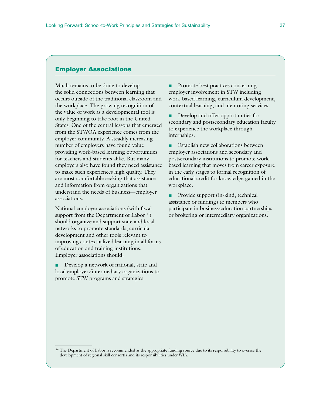### Employer Associations

Much remains to be done to develop the solid connections between learning that occurs outside of the traditional classroom and the workplace. The growing recognition of the value of work as a developmental tool is only beginning to take root in the United States. One of the central lessons that emerged from the STWOA experience comes from the employer community. A steadily increasing number of employers have found value providing work-based learning opportunities for teachers and students alike. But many employers also have found they need assistance to make such experiences high quality. They are most comfortable seeking that assistance and information from organizations that understand the needs of business—employer associations.

National employer associations (with fiscal support from the Department of  $Labor<sup>14</sup>$ ) should organize and support state and local networks to promote standards, curricula development and other tools relevant to improving contextualized learning in all forms of education and training institutions. Employer associations should:

■ Develop a network of national, state and local employer/intermediary organizations to promote STW programs and strategies.

Promote best practices concerning employer involvement in STW including work-based learning, curriculum development, contextual learning, and mentoring services.

■ Develop and offer opportunities for secondary and postsecondary education faculty to experience the workplace through internships.

Establish new collaborations between employer associations and secondary and postsecondary institutions to promote workbased learning that moves from career exposure in the early stages to formal recognition of educational credit for knowledge gained in the workplace.

■ Provide support (in-kind, technical assistance or funding) to members who participate in business-education partnerships or brokering or intermediary organizations.

<sup>14</sup> The Department of Labor is recommended as the appropriate funding source due to its responsibility to oversee the development of regional skill consortia and its responsibilities under WIA.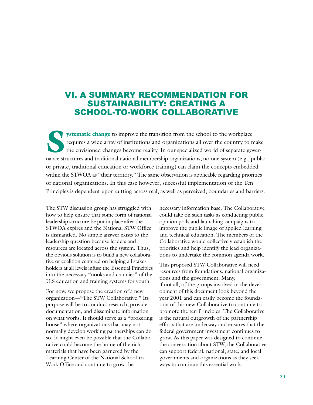### VI. A SUMMARY RECOMMENDATION FOR SUSTAINABILITY: CREATING A SCHOOL-TO-WORK COLLABORATIVE

**Systematic change to** improve the transition from the school to the workplace requires a wide array of institutions and organizations all over the country to make the envisioned changes become reality. In our specialized world of separate governance structures and traditional national membership organizations, no one system (e.g., public or private, traditional education or workforce training) can claim the concepts embedded within the STWOA as "their territory." The same observation is applicable regarding priorities of national organizations. In this case however, successful implementation of the Ten Principles is dependent upon cutting across real, as well as perceived, boundaries and barriers.

The STW discussion group has struggled with how to help ensure that some form of national leadership structure be put in place after the STWOA expires and the National STW Office is dismantled. No simple answer exists to the leadership question because leaders and resources are located across the system. Thus, the obvious solution is to build a new collaborative or coalition centered on helping all stakeholders at all levels infuse the Essential Principles into the necessary "nooks and crannies" of the U.S education and training systems for youth.

For now, we propose the creation of a new organization—"The STW Collaborative." Its purpose will be to conduct research, provide documentation, and disseminate information on what works. It should serve as a "brokering house" where organizations that may not normally develop working partnerships can do so. It might even be possible that the Collaborative could become the home of the rich materials that have been garnered by the Learning Center of the National School-to-Work Office and continue to grow the

necessary information base. The Collaborative could take on such tasks as conducting public opinion polls and launching campaigns to improve the public image of applied learning and technical education. The members of the Collaborative would collectively establish the priorities and help identify the lead organizations to undertake the common agenda work.

This proposed STW Collaborative will need resources from foundations, national organizations and the government. Many, if not all, of the groups involved in the development of this document look beyond the year 2001 and can easily become the foundation of this new Collaborative to continue to promote the ten Principles. The Collaborative is the natural outgrowth of the partnership efforts that are underway and ensures that the federal government investment continues to grow. As this paper was designed to continue the conversation about STW, the Collaborative can support federal, national, state, and local governments and organizations as they seek ways to continue this essential work.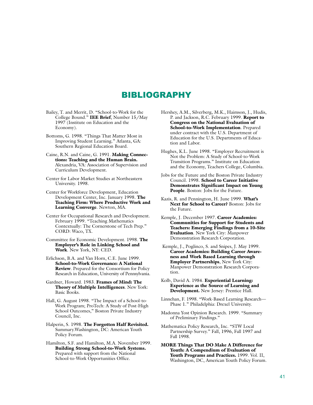### BIBLIOGRAPHY

- Bailey, T. and Merrit, D. "School-to-Work for the College Bound." **IEE Brief**, Number 15/May 1997 (Institute on Education and the Economy).
- Bottoms, G. 1998. "Things That Matter Most in Improving Student Learning." Atlanta, GA: Southern Regional Education Board.
- Caine, R.N. and Caine, G. 1991. **Making Connections: Teaching and the Human Brain.** Alexandria, VA: Association of Supervision and Curriculum Development.
- Center for Labor Market Studies at Northeastern University. 1998.
- Center for Workforce Development, Education Development Center, Inc. January 1998. **The Teaching Firm: Where Productive Work and Learning Converge**. Newton, MA.
- Center for Occupational Research and Development. February 1999. "Teaching Mathematics Contextually: The Cornerstone of Tech Prep." CORD: Waco, TX.
- Committee for Economic Development. 1998. **The Employer's Role in Linking School and Work**. New York, NY: CED.
- Erlichson, B.A. and Van Horn, C.E. June 1999. **School-to-Work Governance: A National Review**. Prepared for the Consortium for Policy Research in Education, University of Pennsylvania.
- Gardner, Howard. 1983. **Frames of Mind: The Theory of Multiple Intelligences**. New York: Basic Books.
- Hall, G. August 1998. "The Impact of a School-to-Work Program; ProTech: A Study of Post-High School Outcomes," Boston Private Industry Council, Inc.
- Halperin, S. 1998. **The Forgotten Half Revisited.** Summary.Washington, DC: American Youth Policy Forum.
- Hamilton, S.F. and Hamilton, M.A. November 1999. **Building Strong School-to-Work Systems.** Prepared with support from the National School-to-Work Opportunities Office.
- Hershey, A.M., Silverberg, M.K., Haimson, J., Hudis, P. and Jackson, R.C. February 1999. **Report to Congress on the National Evaluation of School-to-Work Implementation**. Prepared under contract with the U.S. Department of Education for the U.S. Departments of Education and Labor.
- Hughes, K.L. June 1998. "Employer Recruitment is Not the Problem: A Study of School-to-Work Transition Programs." Institute on Education and the Economy, Teachers College, Columbia.
- Jobs for the Future and the Boston Private Industry Council. 1998. **School to Career Initiative Demonstrates Significant Impact on Young People**. Boston: Jobs for the Future.
- Kazis, R. and Pennington, H. June 1999. **What's Next for School to Career?** Boston: Jobs for the Future.
- Kemple, J. December 1997. **Career Academies: Communities for Support for Students and Teachers: Emerging Findings from a 10-Site Evaluation**. New York City: Manpower Demonstration Research Corporation.
- Kemple, J., Poglinco, S. and Snipes, J. May 1999. **Career Academies: Building Career Awareness and Work Based Learning through Employer Partnerships**, New York City: Manpower Demonstration Research Corporation.
- Kolb, David A. 1984. **Experiential Learning: Experience as the Source of Learning and Development.** New Jersey: Prentice Hall.
- Linnehan, F. 1998. "Work-Based Learning Research— Phase 1." Philadelphia: Drexel University.
- Madonna Yost Opinion Research. 1999. "Summary of Preliminary Findings."
- Mathematica Policy Research, Inc. "STW Local Partnership Survey." Fall, 1996, Fall 1997 and Fall 1998.
- **MORE Things That DO Make A Difference for Youth: A Compendium of Evaluation of Youth Programs and Practices.** 1999. Vol. II, Washington, DC, American Youth Policy Forum.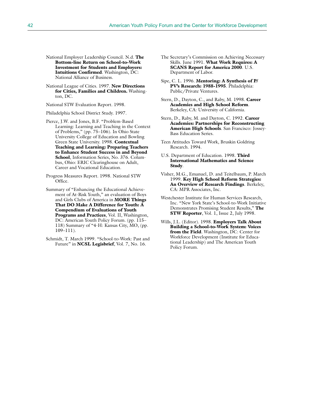- National Employer Leadership Council. N.d. **The Bottom-line Return on School-to-Work Investment for Students and Employers: Intuitions Confirmed**. Washington, DC: National Alliance of Business.
- National League of Cities. 1997. **New Directions for Cities, Families and Children.** Washington, DC.

National STW Evaluation Report. 1998.

Philadelphia School District Study. 1997.

- Pierce, J.W. and Jones, B.F. "Problem-Based Learning: Learning and Teaching in the Context of Problems," (pp. 75–106). In Ohio State University College of Education and Bowling Green State University. 1998. **Contextual Teaching and Learning: Preparing Teachers to Enhance Student Success in and Beyond School**, Information Series, No. 376. Columbus, Ohio: ERIC Clearinghouse on Adult, Career and Vocational Education.
- Progress Measures Report. 1998. National STW Office.
- Summary of "Enhancing the Educational Achievement of At-Risk Youth," an evaluation of Boys and Girls Clubs of America in **MORE Things That DO Make A Difference for Youth: A Compendium of Evaluations of Youth Programs and Practices**, Vol. II, Washington, DC: American Youth Policy Forum. (pp. 115– 118) Summary of "4-H: Kansas City, MO, (pp. 109–111).
- Schmidt, T. March 1999. "School-to-Work: Past and Future" in **NCSL Legisbrief**, Vol. 7, No. 16.
- The Secretary's Commission on Achieving Necessary Skills. June 1991. **What Work Requires: A SCANS Report for America 2000**. U.S. Department of Labor.
- Sipe, C. L. 1996. **Mentoring: A Synthesis of P/ PV's Research: 1988-1995**. Philadelphia: Public/Private Ventures.
- Stern, D., Dayton, C., and Raby, M. 1998. **Career Academies and High School Reform**. Berkeley, CA: University of California.
- Stern, D., Raby, M. and Dayton, C. 1992. **Career Academies: Partnerships for Reconstructing American High Schools**. San Francisco: Jossey-Bass Education Series.
- Teen Attitudes Toward Work, Bruskin Goldring Research. 1994.
- U.S. Department of Education. 1998. **Third International Mathematics and Science Study**.
- Visher, M.G., Emanuel, D. and Teitelbaum, P. March 1999. **Key High School Reform Strategies: An Overview of Research Findings**. Berkeley, CA: MPR Associates, Inc.
- Westchester Institute for Human Services Research, Inc. "New York State's School-to-Work Initiative Demonstrates Promising Student Results," **The STW Reporter**, Vol. 1, Issue 2, July 1998.
- Wills, J.L. (Editor). 1998. **Employers Talk About Building a School-to-Work System: Voices from the Field**. Washington, DC: Center for Workforce Development (Institute for Educational Leadership) and The American Youth Policy Forum.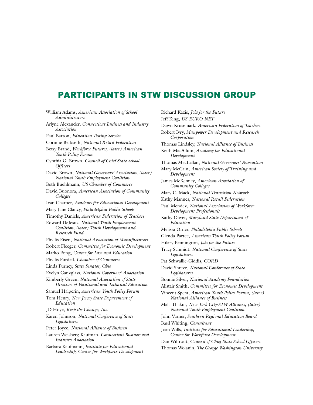### **PARTICIPANTS IN STW DISCUSSION GROUP**

William Adams, *American Association of School Administrators* Arlyne Alexander, *Connecticut Business and Industry Association* Paul Barton, *Education Testing Service* Corinne Berkseth, *National Retail Federation* Betsy Brand, *Workforce Futures, (later) American Youth Policy Forum* Cynthia G. Brown, *Council of Chief State School Officers* David Brown, *National Governors' Association, (later) National Youth Employment Coalition* Beth Buehlmann, *US Chamber of Commerce* David Buonora, *American Association of Community Colleges* Ivan Charner, *Academy for Educational Development* Mary Jane Clancy, *Philadelphia Public Schools* Timothy Daniels, *American Federation of Teachers* Edward DeJesus, *National Youth Employment Coalition, (later) Youth Development and Research Fund* Phyllis Eisen, *National Association of Manufacturers* Robert Fleeger, *Committee for Economic Development* Marko Fong, *Center for Law and Education* Phyllis Furdell, *Chamber of Commerce* Linda Furney, *State Senator, Ohio* Evelyn Ganzglass, *National Governors' Association* Kimberly Green, *National Association of State Directors of Vocational and Technical Education* Samuel Halperin, *American Youth Policy Forum* Tom Henry, *New Jersey State Department of Education* JD Hoye, *Keep the Change, Inc.* Karen Johnson, *National Conference of State Legislatures* Peter Joyce, *National Alliance of Business* Lauren Weisberg Kaufman, *Connecticut Business and Industry Association* Barbara Kaufmann, *Institute for Educational Leadership, Center for Workforce Development*

Richard Kazis, *Jobs for the Future* Jeff King, *US-EURO-NET* Dawn Krusemark, *American Federation of Teachers* Robert Ivry, *Manpower Development and Research Corporation* Thomas Lindsley, *National Alliance of Business* Keith MacAllum, *Academy for Educational Development* Thomas MacLellan, *National Governors' Association* Mary McCain, *American Society of Training and Development* James McKenney, *American Association of Community Colleges* Mary C. Mack, *National Transition Network* Kathy Mannes, *National Retail Federation* Paul Mendez, *National Association of Workforce Development Professionals* Kathy Oliver, *Maryland State Department of Education* Melissa Orner, *Philadelphia Public Schools* Glenda Partee, *American Youth Policy Forum* Hilary Pennington, *Jobs for the Future* Tracy Schmidt, *National Conference of State Legislatures* Pat Schwallie-Giddis, *CORD* David Shreve, *National Conference of State Legislatures* Bonnie Silver, *National Academy Foundation* Alistair Smith, *Committee for Economic Development* Vincent Spera, *American Youth Policy Forum, (later) National Alliance of Business* Mala Thakur, *New York City-STW Alliance, (later) National Youth Employment Coalition* John Varner, *Southern Regional Education Board* Basil Whiting, *Consultant* Joan Wills, *Institute for Educational Leadership, Center for Workforce Development* Dan Wiltrout, *Council of Chief State School Officers*

Thomas Wolanin, *The George Washington University*